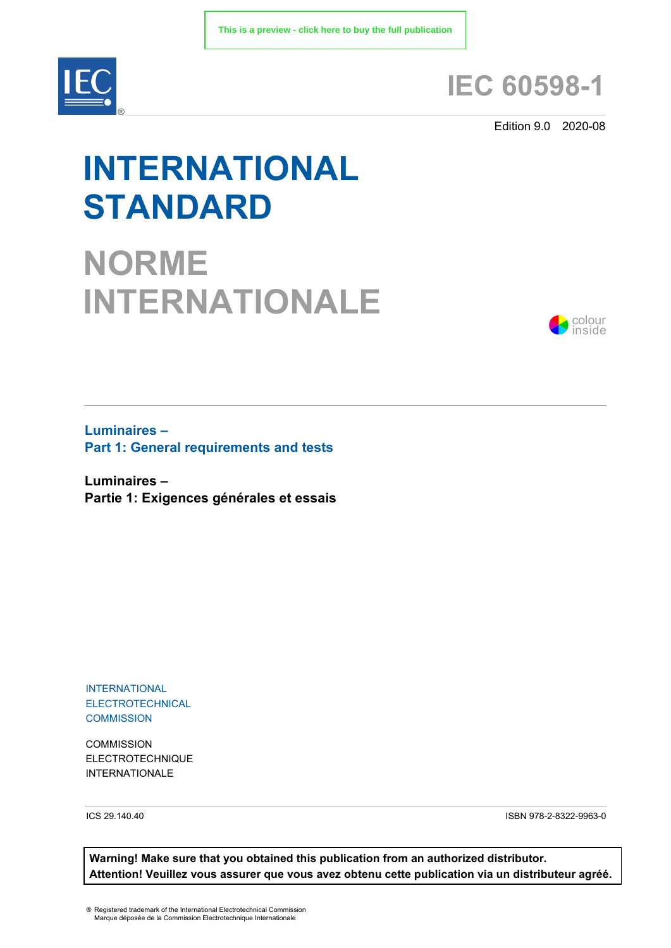

# **IEC 60598-1**

Edition 9.0 2020-08

# **INTERNATIONAL STANDARD**

**NORME INTERNATIONALE**



**Luminaires – Part 1: General requirements and tests**

**Luminaires – Partie 1: Exigences générales et essais**

INTERNATIONAL ELECTROTECHNICAL **COMMISSION** 

**COMMISSION** ELECTROTECHNIQUE INTERNATIONALE

ICS 29.140.40 ISBN 978-2-8322-9963-0

**Warning! Make sure that you obtained this publication from an authorized distributor. Attention! Veuillez vous assurer que vous avez obtenu cette publication via un distributeur agréé.**

® Registered trademark of the International Electrotechnical Commission Marque déposée de la Commission Electrotechnique Internationale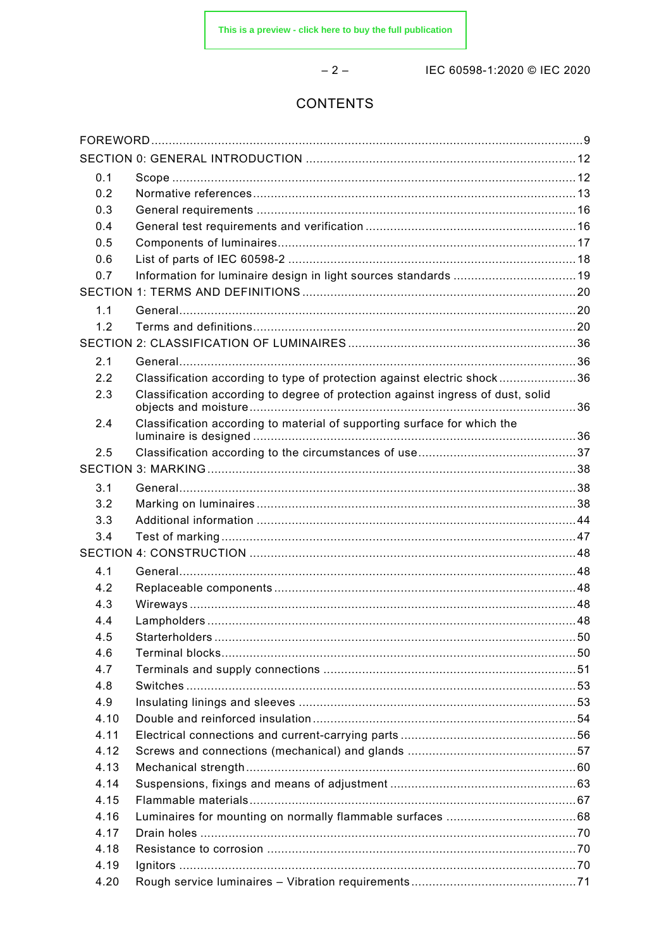$-2-$ 

IEC 60598-1:2020 © IEC 2020

# CONTENTS

| 0.1  |                                                                                 |  |
|------|---------------------------------------------------------------------------------|--|
| 0.2  |                                                                                 |  |
| 0.3  |                                                                                 |  |
| 0.4  |                                                                                 |  |
| 0.5  |                                                                                 |  |
| 0.6  |                                                                                 |  |
| 0.7  |                                                                                 |  |
|      |                                                                                 |  |
| 1.1  |                                                                                 |  |
| 1.2  |                                                                                 |  |
|      |                                                                                 |  |
| 2.1  |                                                                                 |  |
| 2.2  | Classification according to type of protection against electric shock36         |  |
| 2.3  | Classification according to degree of protection against ingress of dust, solid |  |
| 2.4  | Classification according to material of supporting surface for which the        |  |
|      |                                                                                 |  |
| 2.5  |                                                                                 |  |
|      |                                                                                 |  |
| 3.1  |                                                                                 |  |
| 3.2  |                                                                                 |  |
| 3.3  |                                                                                 |  |
| 3.4  |                                                                                 |  |
|      |                                                                                 |  |
| 4.1  |                                                                                 |  |
| 4.2  |                                                                                 |  |
| 4.3  |                                                                                 |  |
| 4.4  |                                                                                 |  |
| 4.5  |                                                                                 |  |
| 4.6  |                                                                                 |  |
| 4.7  |                                                                                 |  |
| 4.8  |                                                                                 |  |
| 4.9  |                                                                                 |  |
| 4.10 |                                                                                 |  |
| 4.11 |                                                                                 |  |
| 4.12 |                                                                                 |  |
| 4.13 |                                                                                 |  |
| 4.14 |                                                                                 |  |
| 4.15 |                                                                                 |  |
| 4.16 |                                                                                 |  |
| 4.17 |                                                                                 |  |
| 4.18 |                                                                                 |  |
| 4.19 |                                                                                 |  |
| 4.20 |                                                                                 |  |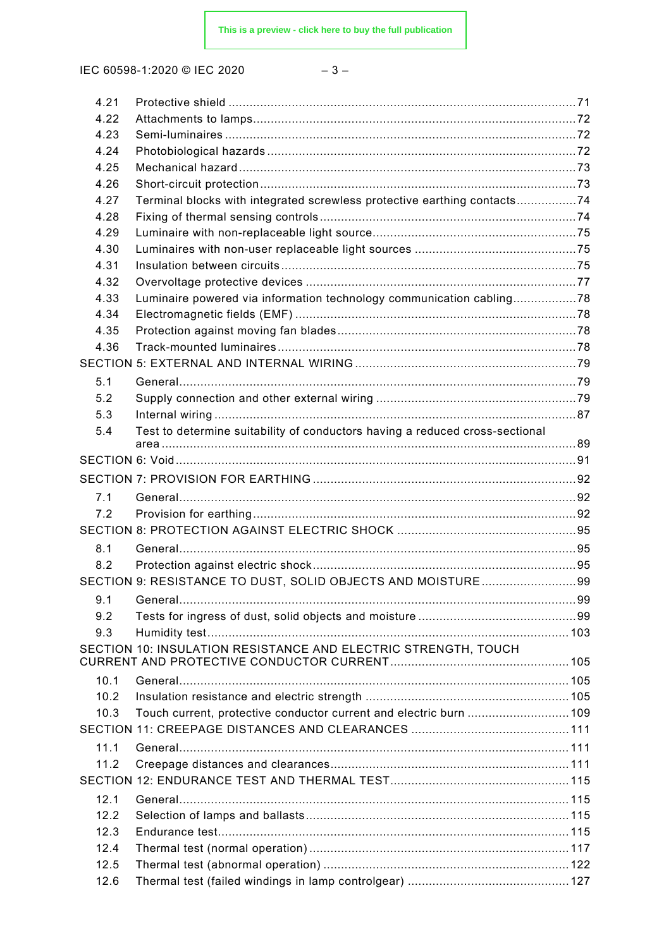| 4.21 |                                                                              |  |
|------|------------------------------------------------------------------------------|--|
| 4.22 |                                                                              |  |
| 4.23 |                                                                              |  |
| 4.24 |                                                                              |  |
| 4.25 |                                                                              |  |
| 4.26 |                                                                              |  |
| 4.27 | Terminal blocks with integrated screwless protective earthing contacts74     |  |
| 4.28 |                                                                              |  |
| 4.29 |                                                                              |  |
| 4.30 |                                                                              |  |
| 4.31 |                                                                              |  |
| 4.32 |                                                                              |  |
| 4.33 | Luminaire powered via information technology communication cabling78         |  |
| 4.34 |                                                                              |  |
| 4.35 |                                                                              |  |
| 4.36 |                                                                              |  |
|      |                                                                              |  |
| 5.1  |                                                                              |  |
| 5.2  |                                                                              |  |
| 5.3  |                                                                              |  |
| 5.4  | Test to determine suitability of conductors having a reduced cross-sectional |  |
|      |                                                                              |  |
|      |                                                                              |  |
|      |                                                                              |  |
| 7.1  |                                                                              |  |
| 7.2  |                                                                              |  |
|      |                                                                              |  |
| 8.1  |                                                                              |  |
| 8.2  |                                                                              |  |
|      | SECTION 9: RESISTANCE TO DUST, SOLID OBJECTS AND MOISTURE99                  |  |
| 9.1  |                                                                              |  |
| 9.2  |                                                                              |  |
| 9.3  |                                                                              |  |
|      | SECTION 10: INSULATION RESISTANCE AND ELECTRIC STRENGTH, TOUCH               |  |
|      |                                                                              |  |
| 10.1 |                                                                              |  |
| 10.2 |                                                                              |  |
| 10.3 |                                                                              |  |
|      |                                                                              |  |
| 11.1 |                                                                              |  |
| 11.2 |                                                                              |  |
|      |                                                                              |  |
|      |                                                                              |  |
| 12.1 |                                                                              |  |
| 12.2 |                                                                              |  |
| 12.3 |                                                                              |  |
| 12.4 |                                                                              |  |
| 12.5 |                                                                              |  |
| 12.6 |                                                                              |  |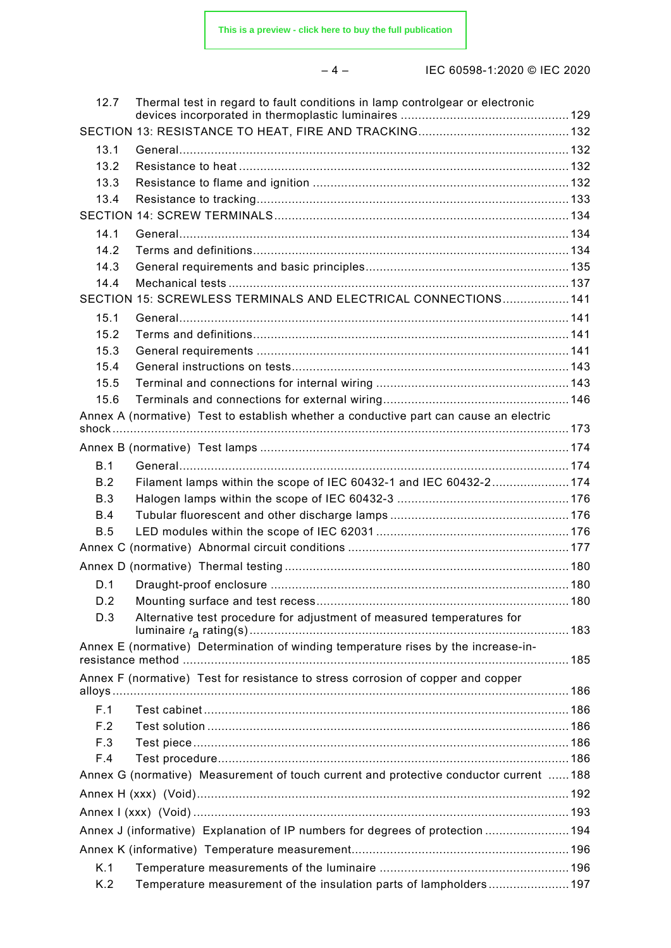– 4 – IEC 60598-1:2020 © IEC 2020

| 13.1<br>13.2<br>13.3<br>13.4<br>14.1<br>14.2<br>14.3<br>14.4<br>SECTION 15: SCREWLESS TERMINALS AND ELECTRICAL CONNECTIONS 141<br>15.1<br>15.2<br>15.3<br>15.4<br>15.5<br>15.6<br>Annex A (normative) Test to establish whether a conductive part can cause an electric<br>B.1<br>Filament lamps within the scope of IEC 60432-1 and IEC 60432-2174<br>B.2<br>B.3<br>B.4<br>B.5<br>D.1<br>D.2<br>Alternative test procedure for adjustment of measured temperatures for<br>D.3<br>Annex E (normative) Determination of winding temperature rises by the increase-in-<br>Annex F (normative) Test for resistance to stress corrosion of copper and copper<br>F.1<br>F.2<br>F.3<br>F.4<br>Annex G (normative) Measurement of touch current and protective conductor current 188<br>Annex J (informative) Explanation of IP numbers for degrees of protection  194<br>K.1 | 12.7 | Thermal test in regard to fault conditions in lamp controlgear or electronic |  |
|------------------------------------------------------------------------------------------------------------------------------------------------------------------------------------------------------------------------------------------------------------------------------------------------------------------------------------------------------------------------------------------------------------------------------------------------------------------------------------------------------------------------------------------------------------------------------------------------------------------------------------------------------------------------------------------------------------------------------------------------------------------------------------------------------------------------------------------------------------------------|------|------------------------------------------------------------------------------|--|
|                                                                                                                                                                                                                                                                                                                                                                                                                                                                                                                                                                                                                                                                                                                                                                                                                                                                        |      |                                                                              |  |
|                                                                                                                                                                                                                                                                                                                                                                                                                                                                                                                                                                                                                                                                                                                                                                                                                                                                        |      |                                                                              |  |
|                                                                                                                                                                                                                                                                                                                                                                                                                                                                                                                                                                                                                                                                                                                                                                                                                                                                        |      |                                                                              |  |
|                                                                                                                                                                                                                                                                                                                                                                                                                                                                                                                                                                                                                                                                                                                                                                                                                                                                        |      |                                                                              |  |
|                                                                                                                                                                                                                                                                                                                                                                                                                                                                                                                                                                                                                                                                                                                                                                                                                                                                        |      |                                                                              |  |
|                                                                                                                                                                                                                                                                                                                                                                                                                                                                                                                                                                                                                                                                                                                                                                                                                                                                        |      |                                                                              |  |
|                                                                                                                                                                                                                                                                                                                                                                                                                                                                                                                                                                                                                                                                                                                                                                                                                                                                        |      |                                                                              |  |
|                                                                                                                                                                                                                                                                                                                                                                                                                                                                                                                                                                                                                                                                                                                                                                                                                                                                        |      |                                                                              |  |
|                                                                                                                                                                                                                                                                                                                                                                                                                                                                                                                                                                                                                                                                                                                                                                                                                                                                        |      |                                                                              |  |
|                                                                                                                                                                                                                                                                                                                                                                                                                                                                                                                                                                                                                                                                                                                                                                                                                                                                        |      |                                                                              |  |
|                                                                                                                                                                                                                                                                                                                                                                                                                                                                                                                                                                                                                                                                                                                                                                                                                                                                        |      |                                                                              |  |
|                                                                                                                                                                                                                                                                                                                                                                                                                                                                                                                                                                                                                                                                                                                                                                                                                                                                        |      |                                                                              |  |
|                                                                                                                                                                                                                                                                                                                                                                                                                                                                                                                                                                                                                                                                                                                                                                                                                                                                        |      |                                                                              |  |
|                                                                                                                                                                                                                                                                                                                                                                                                                                                                                                                                                                                                                                                                                                                                                                                                                                                                        |      |                                                                              |  |
|                                                                                                                                                                                                                                                                                                                                                                                                                                                                                                                                                                                                                                                                                                                                                                                                                                                                        |      |                                                                              |  |
|                                                                                                                                                                                                                                                                                                                                                                                                                                                                                                                                                                                                                                                                                                                                                                                                                                                                        |      |                                                                              |  |
|                                                                                                                                                                                                                                                                                                                                                                                                                                                                                                                                                                                                                                                                                                                                                                                                                                                                        |      |                                                                              |  |
|                                                                                                                                                                                                                                                                                                                                                                                                                                                                                                                                                                                                                                                                                                                                                                                                                                                                        |      |                                                                              |  |
|                                                                                                                                                                                                                                                                                                                                                                                                                                                                                                                                                                                                                                                                                                                                                                                                                                                                        |      |                                                                              |  |
|                                                                                                                                                                                                                                                                                                                                                                                                                                                                                                                                                                                                                                                                                                                                                                                                                                                                        |      |                                                                              |  |
|                                                                                                                                                                                                                                                                                                                                                                                                                                                                                                                                                                                                                                                                                                                                                                                                                                                                        |      |                                                                              |  |
|                                                                                                                                                                                                                                                                                                                                                                                                                                                                                                                                                                                                                                                                                                                                                                                                                                                                        |      |                                                                              |  |
|                                                                                                                                                                                                                                                                                                                                                                                                                                                                                                                                                                                                                                                                                                                                                                                                                                                                        |      |                                                                              |  |
|                                                                                                                                                                                                                                                                                                                                                                                                                                                                                                                                                                                                                                                                                                                                                                                                                                                                        |      |                                                                              |  |
|                                                                                                                                                                                                                                                                                                                                                                                                                                                                                                                                                                                                                                                                                                                                                                                                                                                                        |      |                                                                              |  |
|                                                                                                                                                                                                                                                                                                                                                                                                                                                                                                                                                                                                                                                                                                                                                                                                                                                                        |      |                                                                              |  |
|                                                                                                                                                                                                                                                                                                                                                                                                                                                                                                                                                                                                                                                                                                                                                                                                                                                                        |      |                                                                              |  |
|                                                                                                                                                                                                                                                                                                                                                                                                                                                                                                                                                                                                                                                                                                                                                                                                                                                                        |      |                                                                              |  |
|                                                                                                                                                                                                                                                                                                                                                                                                                                                                                                                                                                                                                                                                                                                                                                                                                                                                        |      |                                                                              |  |
|                                                                                                                                                                                                                                                                                                                                                                                                                                                                                                                                                                                                                                                                                                                                                                                                                                                                        |      |                                                                              |  |
|                                                                                                                                                                                                                                                                                                                                                                                                                                                                                                                                                                                                                                                                                                                                                                                                                                                                        |      |                                                                              |  |
|                                                                                                                                                                                                                                                                                                                                                                                                                                                                                                                                                                                                                                                                                                                                                                                                                                                                        |      |                                                                              |  |
|                                                                                                                                                                                                                                                                                                                                                                                                                                                                                                                                                                                                                                                                                                                                                                                                                                                                        |      |                                                                              |  |
|                                                                                                                                                                                                                                                                                                                                                                                                                                                                                                                                                                                                                                                                                                                                                                                                                                                                        |      |                                                                              |  |
|                                                                                                                                                                                                                                                                                                                                                                                                                                                                                                                                                                                                                                                                                                                                                                                                                                                                        |      |                                                                              |  |
|                                                                                                                                                                                                                                                                                                                                                                                                                                                                                                                                                                                                                                                                                                                                                                                                                                                                        |      |                                                                              |  |
|                                                                                                                                                                                                                                                                                                                                                                                                                                                                                                                                                                                                                                                                                                                                                                                                                                                                        |      |                                                                              |  |
|                                                                                                                                                                                                                                                                                                                                                                                                                                                                                                                                                                                                                                                                                                                                                                                                                                                                        |      |                                                                              |  |
|                                                                                                                                                                                                                                                                                                                                                                                                                                                                                                                                                                                                                                                                                                                                                                                                                                                                        |      |                                                                              |  |
|                                                                                                                                                                                                                                                                                                                                                                                                                                                                                                                                                                                                                                                                                                                                                                                                                                                                        |      |                                                                              |  |
|                                                                                                                                                                                                                                                                                                                                                                                                                                                                                                                                                                                                                                                                                                                                                                                                                                                                        |      |                                                                              |  |
|                                                                                                                                                                                                                                                                                                                                                                                                                                                                                                                                                                                                                                                                                                                                                                                                                                                                        |      |                                                                              |  |
|                                                                                                                                                                                                                                                                                                                                                                                                                                                                                                                                                                                                                                                                                                                                                                                                                                                                        |      |                                                                              |  |
|                                                                                                                                                                                                                                                                                                                                                                                                                                                                                                                                                                                                                                                                                                                                                                                                                                                                        |      |                                                                              |  |
|                                                                                                                                                                                                                                                                                                                                                                                                                                                                                                                                                                                                                                                                                                                                                                                                                                                                        | K.2  | Temperature measurement of the insulation parts of lampholders197            |  |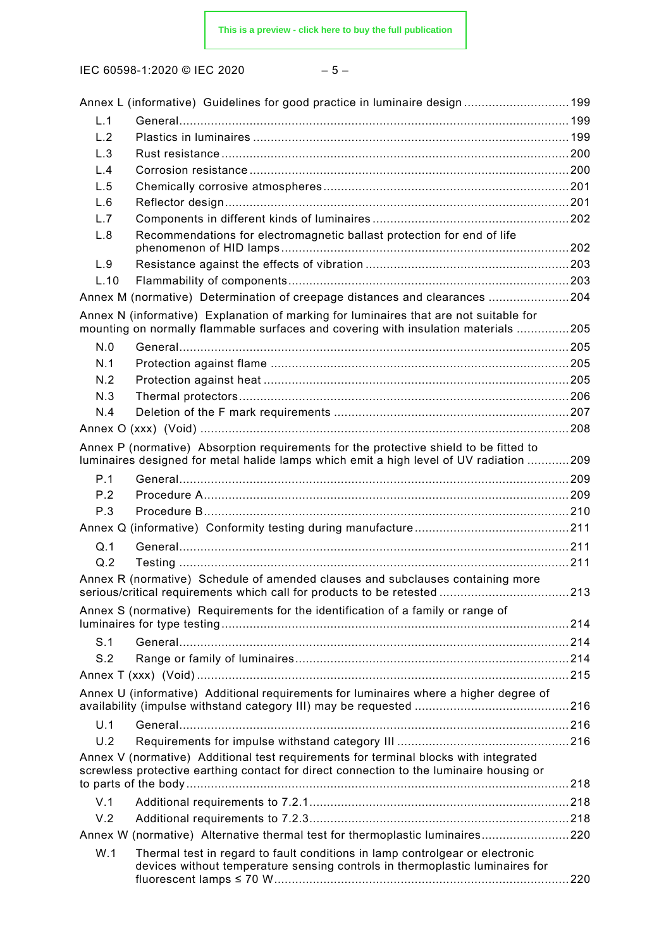|  | 원 사<br>×<br>۰. |  |
|--|----------------|--|
|--|----------------|--|

|      | Annex L (informative) Guidelines for good practice in luminaire design  199                                                                                                     |  |
|------|---------------------------------------------------------------------------------------------------------------------------------------------------------------------------------|--|
| L.1  |                                                                                                                                                                                 |  |
| L.2  |                                                                                                                                                                                 |  |
| L.3  |                                                                                                                                                                                 |  |
| L.4  |                                                                                                                                                                                 |  |
| L.5  |                                                                                                                                                                                 |  |
| L.6  |                                                                                                                                                                                 |  |
| L.7  |                                                                                                                                                                                 |  |
| L.8  | Recommendations for electromagnetic ballast protection for end of life                                                                                                          |  |
| L.9  |                                                                                                                                                                                 |  |
| L.10 |                                                                                                                                                                                 |  |
|      | Annex M (normative) Determination of creepage distances and clearances 204                                                                                                      |  |
|      | Annex N (informative) Explanation of marking for luminaires that are not suitable for                                                                                           |  |
|      | mounting on normally flammable surfaces and covering with insulation materials 205                                                                                              |  |
| N.0  |                                                                                                                                                                                 |  |
| N.1  |                                                                                                                                                                                 |  |
| N.2  |                                                                                                                                                                                 |  |
| N.3  |                                                                                                                                                                                 |  |
| N.4  |                                                                                                                                                                                 |  |
|      |                                                                                                                                                                                 |  |
|      | Annex P (normative) Absorption requirements for the protective shield to be fitted to                                                                                           |  |
|      | luminaires designed for metal halide lamps which emit a high level of UV radiation 209                                                                                          |  |
| P.1  |                                                                                                                                                                                 |  |
| P.2  |                                                                                                                                                                                 |  |
| P.3  |                                                                                                                                                                                 |  |
|      |                                                                                                                                                                                 |  |
| Q.1  |                                                                                                                                                                                 |  |
| Q.2  |                                                                                                                                                                                 |  |
|      | Annex R (normative) Schedule of amended clauses and subclauses containing more                                                                                                  |  |
|      |                                                                                                                                                                                 |  |
|      | Annex S (normative) Requirements for the identification of a family or range of                                                                                                 |  |
|      |                                                                                                                                                                                 |  |
| S.1  |                                                                                                                                                                                 |  |
| S.2  |                                                                                                                                                                                 |  |
|      |                                                                                                                                                                                 |  |
|      | Annex U (informative) Additional requirements for luminaires where a higher degree of                                                                                           |  |
|      |                                                                                                                                                                                 |  |
| U.1  |                                                                                                                                                                                 |  |
| U.2  |                                                                                                                                                                                 |  |
|      | Annex V (normative) Additional test requirements for terminal blocks with integrated<br>screwless protective earthing contact for direct connection to the luminaire housing or |  |
|      |                                                                                                                                                                                 |  |
| V.1  |                                                                                                                                                                                 |  |
| V.2  |                                                                                                                                                                                 |  |
|      | Annex W (normative) Alternative thermal test for thermoplastic luminaires220                                                                                                    |  |
| W.1  | Thermal test in regard to fault conditions in lamp controlgear or electronic<br>devices without temperature sensing controls in thermoplastic luminaires for                    |  |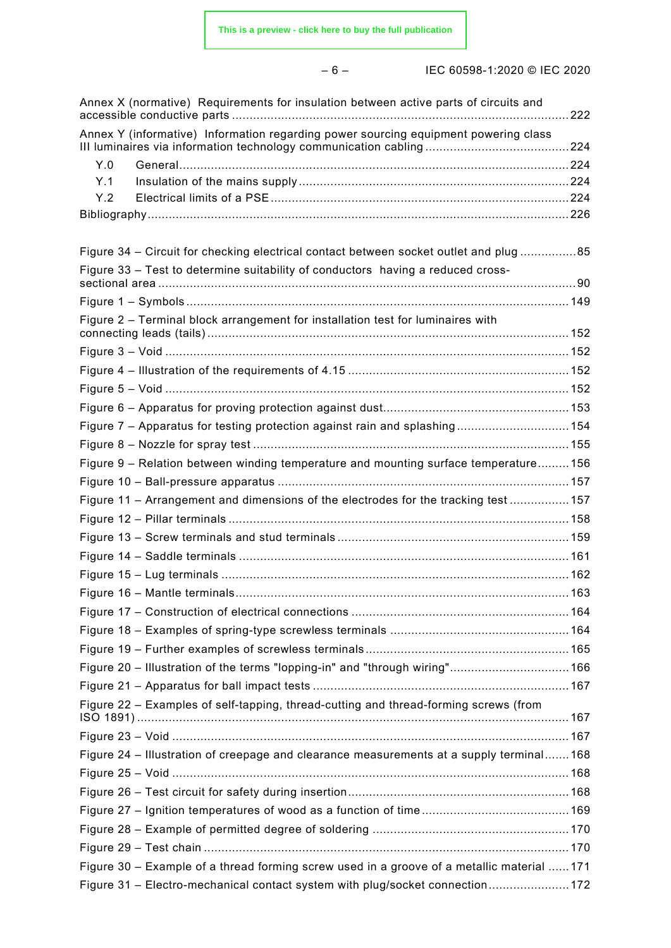– 6 – IEC 60598-1:2020 © IEC 2020

| Annex X (normative) Requirements for insulation between active parts of circuits and       |  |
|--------------------------------------------------------------------------------------------|--|
| Annex Y (informative) Information regarding power sourcing equipment powering class        |  |
| Y.0                                                                                        |  |
| Y.1                                                                                        |  |
| Y.2                                                                                        |  |
|                                                                                            |  |
| Figure 34 – Circuit for checking electrical contact between socket outlet and plug 85      |  |
| Figure 33 - Test to determine suitability of conductors having a reduced cross-            |  |
|                                                                                            |  |
| Figure 2 – Terminal block arrangement for installation test for luminaires with            |  |
|                                                                                            |  |
|                                                                                            |  |
|                                                                                            |  |
|                                                                                            |  |
| Figure 7 - Apparatus for testing protection against rain and splashing 154                 |  |
|                                                                                            |  |
| Figure 9 - Relation between winding temperature and mounting surface temperature156        |  |
|                                                                                            |  |
| Figure 11 - Arrangement and dimensions of the electrodes for the tracking test 157         |  |
|                                                                                            |  |
|                                                                                            |  |
|                                                                                            |  |
|                                                                                            |  |
|                                                                                            |  |
|                                                                                            |  |
|                                                                                            |  |
|                                                                                            |  |
| Figure 20 - Illustration of the terms "lopping-in" and "through wiring" 166                |  |
|                                                                                            |  |
| Figure 22 – Examples of self-tapping, thread-cutting and thread-forming screws (from       |  |
|                                                                                            |  |
| Figure 24 - Illustration of creepage and clearance measurements at a supply terminal168    |  |
|                                                                                            |  |
|                                                                                            |  |
|                                                                                            |  |
|                                                                                            |  |
|                                                                                            |  |
| Figure 30 - Example of a thread forming screw used in a groove of a metallic material  171 |  |
| Figure 31 - Electro-mechanical contact system with plug/socket connection 172              |  |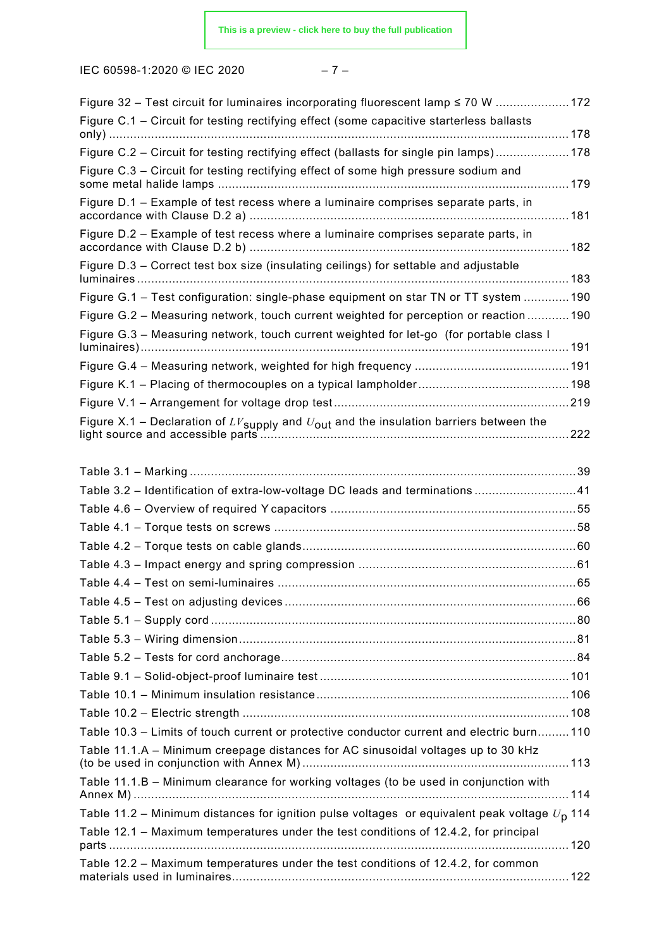IEC 60598-1:2020 © IEC 2020 – 7 –

| Figure 32 – Test circuit for luminaires incorporating fluorescent lamp ≤ 70 W 172                        |  |
|----------------------------------------------------------------------------------------------------------|--|
| Figure C.1 - Circuit for testing rectifying effect (some capacitive starterless ballasts                 |  |
|                                                                                                          |  |
| Figure C.2 - Circuit for testing rectifying effect (ballasts for single pin lamps)178                    |  |
| Figure C.3 - Circuit for testing rectifying effect of some high pressure sodium and                      |  |
| Figure D.1 - Example of test recess where a luminaire comprises separate parts, in                       |  |
| Figure D.2 - Example of test recess where a luminaire comprises separate parts, in                       |  |
| Figure D.3 - Correct test box size (insulating ceilings) for settable and adjustable                     |  |
| Figure G.1 - Test configuration: single-phase equipment on star TN or TT system  190                     |  |
|                                                                                                          |  |
| Figure G.2 - Measuring network, touch current weighted for perception or reaction  190                   |  |
| Figure G.3 - Measuring network, touch current weighted for let-go (for portable class I                  |  |
|                                                                                                          |  |
|                                                                                                          |  |
|                                                                                                          |  |
|                                                                                                          |  |
|                                                                                                          |  |
| Table 3.2 - Identification of extra-low-voltage DC leads and terminations 41                             |  |
|                                                                                                          |  |
|                                                                                                          |  |
|                                                                                                          |  |
|                                                                                                          |  |
|                                                                                                          |  |
|                                                                                                          |  |
|                                                                                                          |  |
|                                                                                                          |  |
|                                                                                                          |  |
|                                                                                                          |  |
|                                                                                                          |  |
|                                                                                                          |  |
| Table 10.3 – Limits of touch current or protective conductor current and electric burn 110               |  |
| Table 11.1.A - Minimum creepage distances for AC sinusoidal voltages up to 30 kHz                        |  |
|                                                                                                          |  |
| Table 11.1.B - Minimum clearance for working voltages (to be used in conjunction with                    |  |
| Table 11.2 – Minimum distances for ignition pulse voltages or equivalent peak voltage $U_{\text{p}}$ 114 |  |
| Table 12.1 - Maximum temperatures under the test conditions of 12.4.2, for principal                     |  |
| Table 12.2 - Maximum temperatures under the test conditions of 12.4.2, for common                        |  |
|                                                                                                          |  |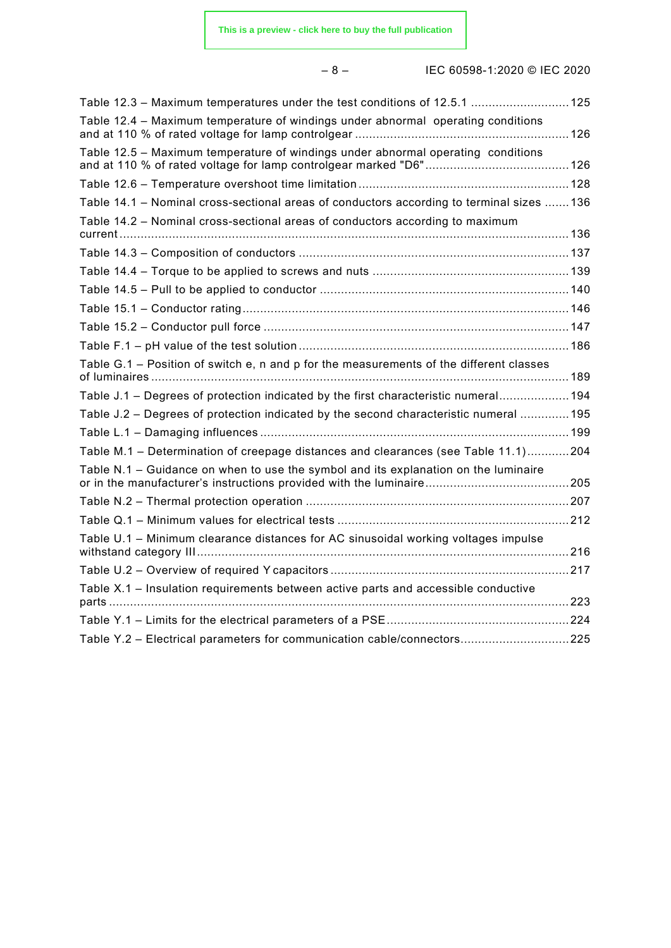– 8 – IEC 60598-1:2020 © IEC 2020

| Table 12.3 - Maximum temperatures under the test conditions of 12.5.1  125                |  |
|-------------------------------------------------------------------------------------------|--|
| Table 12.4 – Maximum temperature of windings under abnormal operating conditions          |  |
| Table 12.5 - Maximum temperature of windings under abnormal operating conditions          |  |
|                                                                                           |  |
| Table 14.1 - Nominal cross-sectional areas of conductors according to terminal sizes  136 |  |
| Table 14.2 - Nominal cross-sectional areas of conductors according to maximum             |  |
|                                                                                           |  |
|                                                                                           |  |
|                                                                                           |  |
|                                                                                           |  |
|                                                                                           |  |
|                                                                                           |  |
| Table G.1 – Position of switch e, n and p for the measurements of the different classes   |  |
| Table J.1 – Degrees of protection indicated by the first characteristic numeral 194       |  |
| Table J.2 – Degrees of protection indicated by the second characteristic numeral  195     |  |
|                                                                                           |  |
| Table M.1 - Determination of creepage distances and clearances (see Table 11.1)204        |  |
| Table N.1 - Guidance on when to use the symbol and its explanation on the luminaire       |  |
|                                                                                           |  |
|                                                                                           |  |
| Table U.1 - Minimum clearance distances for AC sinusoidal working voltages impulse        |  |
|                                                                                           |  |
| Table X.1 - Insulation requirements between active parts and accessible conductive        |  |
|                                                                                           |  |
| Table Y.2 - Electrical parameters for communication cable/connectors225                   |  |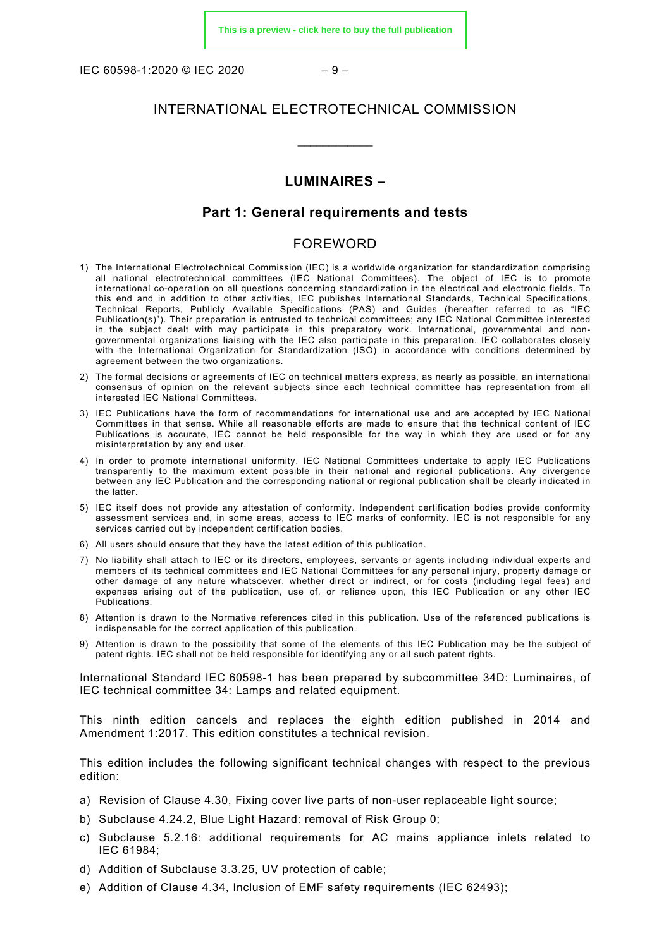IEC 60598-1:2020 © IEC 2020 – 9 –

# INTERNATIONAL ELECTROTECHNICAL COMMISSION

\_\_\_\_\_\_\_\_\_\_\_\_

# **LUMINAIRES –**

# **Part 1: General requirements and tests**

# FOREWORD

- <span id="page-8-0"></span>1) The International Electrotechnical Commission (IEC) is a worldwide organization for standardization comprising all national electrotechnical committees (IEC National Committees). The object of IEC is to promote international co-operation on all questions concerning standardization in the electrical and electronic fields. To this end and in addition to other activities, IEC publishes International Standards, Technical Specifications, Technical Reports, Publicly Available Specifications (PAS) and Guides (hereafter referred to as "IEC Publication(s)"). Their preparation is entrusted to technical committees; any IEC National Committee interested in the subject dealt with may participate in this preparatory work. International, governmental and nongovernmental organizations liaising with the IEC also participate in this preparation. IEC collaborates closely with the International Organization for Standardization (ISO) in accordance with conditions determined by agreement between the two organizations.
- 2) The formal decisions or agreements of IEC on technical matters express, as nearly as possible, an international consensus of opinion on the relevant subjects since each technical committee has representation from all interested IEC National Committees.
- 3) IEC Publications have the form of recommendations for international use and are accepted by IEC National Committees in that sense. While all reasonable efforts are made to ensure that the technical content of IEC Publications is accurate, IEC cannot be held responsible for the way in which they are used or for any misinterpretation by any end user.
- 4) In order to promote international uniformity, IEC National Committees undertake to apply IEC Publications transparently to the maximum extent possible in their national and regional publications. Any divergence between any IEC Publication and the corresponding national or regional publication shall be clearly indicated in the latter.
- 5) IEC itself does not provide any attestation of conformity. Independent certification bodies provide conformity assessment services and, in some areas, access to IEC marks of conformity. IEC is not responsible for any services carried out by independent certification bodies.
- 6) All users should ensure that they have the latest edition of this publication.
- 7) No liability shall attach to IEC or its directors, employees, servants or agents including individual experts and members of its technical committees and IEC National Committees for any personal injury, property damage or other damage of any nature whatsoever, whether direct or indirect, or for costs (including legal fees) and expenses arising out of the publication, use of, or reliance upon, this IEC Publication or any other IEC Publications.
- 8) Attention is drawn to the Normative references cited in this publication. Use of the referenced publications is indispensable for the correct application of this publication.
- 9) Attention is drawn to the possibility that some of the elements of this IEC Publication may be the subject of patent rights. IEC shall not be held responsible for identifying any or all such patent rights.

International Standard IEC 60598-1 has been prepared by subcommittee 34D: Luminaires, of IEC technical committee 34: Lamps and related equipment.

This ninth edition cancels and replaces the eighth edition published in 2014 and Amendment 1:2017. This edition constitutes a technical revision.

This edition includes the following significant technical changes with respect to the previous edition:

- a) Revision of Clause 4.30, Fixing cover live parts of non-user replaceable light source;
- b) Subclause 4.24.2, Blue Light Hazard: removal of Risk Group 0;
- c) Subclause 5.2.16: additional requirements for AC mains appliance inlets related to IEC 61984;
- d) Addition of Subclause 3.3.25, UV protection of cable;
- e) Addition of Clause 4.34, Inclusion of EMF safety requirements (IEC 62493);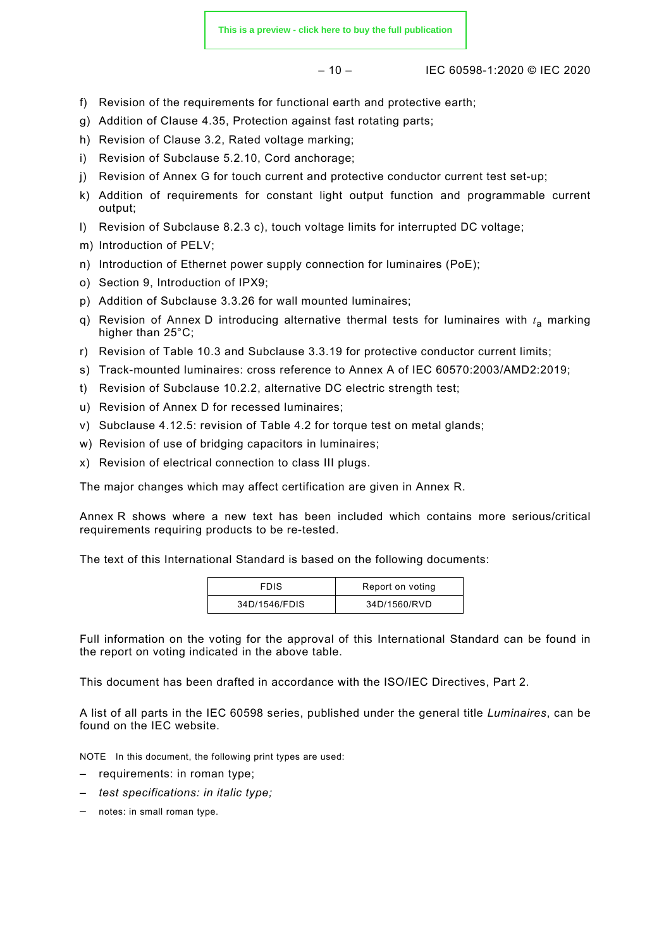$-10 -$  IEC 60598-1:2020 © IEC 2020

- f) Revision of the requirements for functional earth and protective earth;
- g) Addition of Clause 4.35, Protection against fast rotating parts;
- h) Revision of Clause 3.2, Rated voltage marking;
- i) Revision of Subclause 5.2.10, Cord anchorage;
- j) Revision of Annex G for touch current and protective conductor current test set-up;
- k) Addition of requirements for constant light output function and programmable current output:
- l) Revision of Subclause 8.2.3 c), touch voltage limits for interrupted DC voltage;
- m) Introduction of PELV;
- n) Introduction of Ethernet power supply connection for luminaires (PoE);
- o) Section 9, Introduction of IPX9;
- p) Addition of Subclause 3.3.26 for wall mounted luminaires;
- q) Revision of Annex D introducing alternative thermal tests for luminaires with *t*<sup>a</sup> marking higher than 25°C;
- r) Revision of Table 10.3 and Subclause 3.3.19 for protective conductor current limits;
- s) Track-mounted luminaires: cross reference to Annex A of IEC 60570:2003/AMD2:2019;
- t) Revision of Subclause 10.2.2, alternative DC electric strength test;
- u) Revision of Annex D for recessed luminaires;
- v) Subclause 4.12.5: revision of Table 4.2 for torque test on metal glands;
- w) Revision of use of bridging capacitors in luminaires;
- x) Revision of electrical connection to class III plugs.

The major changes which may affect certification are given in Annex R.

Annex R shows where a new text has been included which contains more serious/critical requirements requiring products to be re-tested.

The text of this International Standard is based on the following documents:

| FDIS          | Report on voting |
|---------------|------------------|
| 34D/1546/FDIS | 34D/1560/RVD     |

Full information on the voting for the approval of this International Standard can be found in the report on voting indicated in the above table.

This document has been drafted in accordance with the ISO/IEC Directives, Part 2.

A list of all parts in the IEC 60598 series, published under the general title *Luminaires*, can be found on the IEC website.

NOTE In this document, the following print types are used:

- requirements: in roman type;
- *test specifications: in italic type;*
- notes: in small roman type.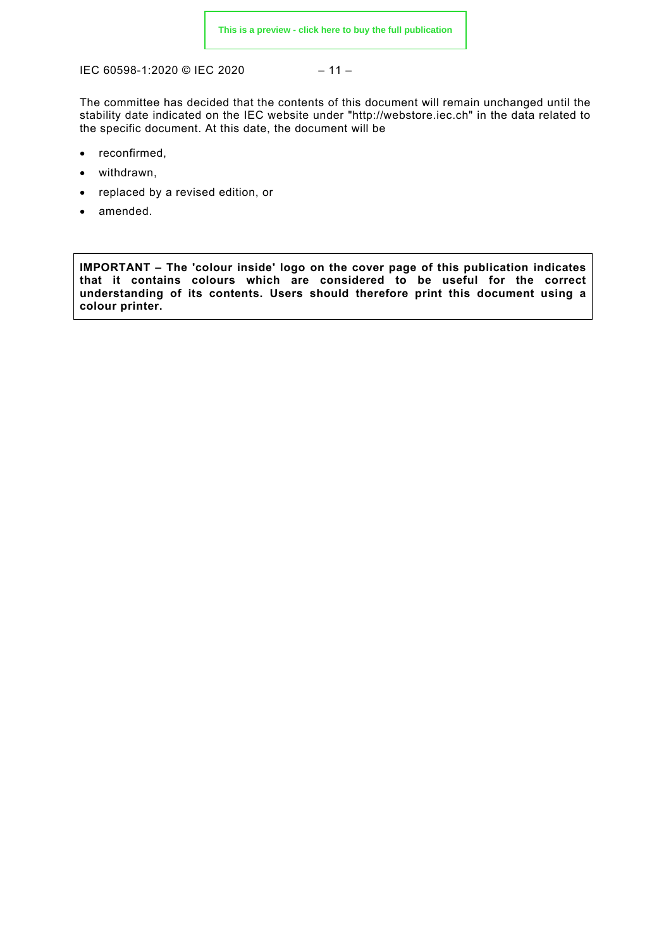IEC 60598-1:2020 © IEC 2020 – 11 –

The committee has decided that the contents of this document will remain unchanged until the stability date indicated on the IEC website under "http://webstore.iec.ch" in the data related to the specific document. At this date, the document will be

- reconfirmed,
- withdrawn,
- replaced by a revised edition, or
- amended.

**IMPORTANT – The 'colour inside' logo on the cover page of this publication indicates that it contains colours which are considered to be useful for the correct understanding of its contents. Users should therefore print this document using a colour printer.**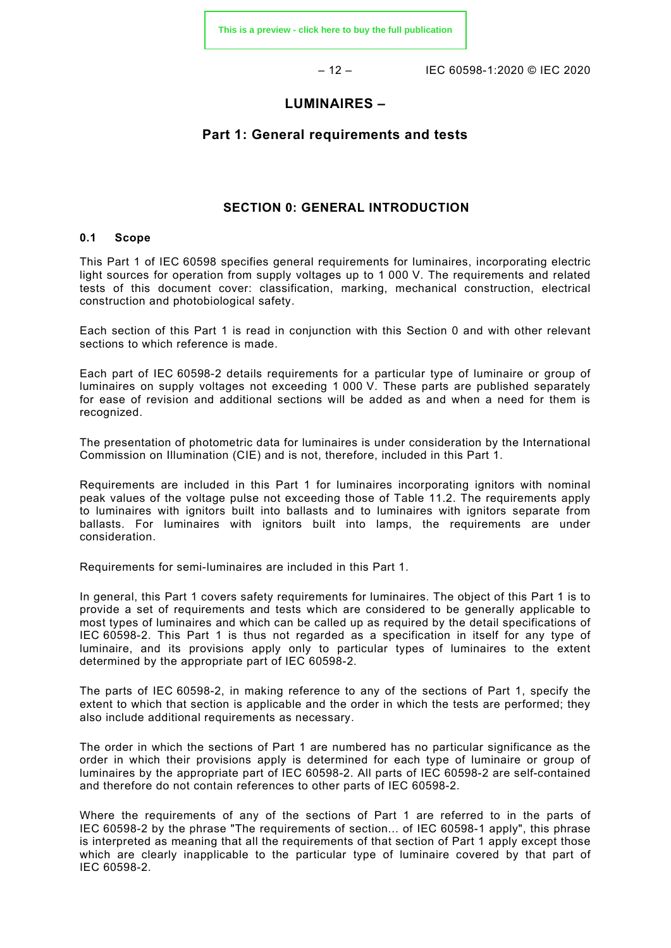– 12 – IEC 60598-1:2020 © IEC 2020

# **LUMINAIRES –**

# **Part 1: General requirements and tests**

# **SECTION 0: GENERAL INTRODUCTION**

### <span id="page-11-1"></span><span id="page-11-0"></span>**0.1 Scope**

This Part 1 of IEC 60598 specifies general requirements for luminaires, incorporating electric light sources for operation from supply voltages up to 1 000 V. The requirements and related tests of this document cover: classification, marking, mechanical construction, electrical construction and photobiological safety.

Each section of this Part 1 is read in conjunction with this Section 0 and with other relevant sections to which reference is made.

Each part of IEC 60598-2 details requirements for a particular type of luminaire or group of luminaires on supply voltages not exceeding 1 000 V. These parts are published separately for ease of revision and additional sections will be added as and when a need for them is recognized.

The presentation of photometric data for luminaires is under consideration by the International Commission on Illumination (CIE) and is not, therefore, included in this Part 1.

Requirements are included in this Part 1 for luminaires incorporating ignitors with nominal peak values of the voltage pulse not exceeding those of Table 11.2. The requirements apply to luminaires with ignitors built into ballasts and to luminaires with ignitors separate from ballasts. For luminaires with ignitors built into lamps, the requirements are under consideration.

Requirements for semi-luminaires are included in this Part 1.

In general, this Part 1 covers safety requirements for luminaires. The object of this Part 1 is to provide a set of requirements and tests which are considered to be generally applicable to most types of luminaires and which can be called up as required by the detail specifications of IEC 60598-2. This Part 1 is thus not regarded as a specification in itself for any type of luminaire, and its provisions apply only to particular types of luminaires to the extent determined by the appropriate part of IEC 60598-2.

The parts of IEC 60598-2, in making reference to any of the sections of Part 1, specify the extent to which that section is applicable and the order in which the tests are performed; they also include additional requirements as necessary.

The order in which the sections of Part 1 are numbered has no particular significance as the order in which their provisions apply is determined for each type of luminaire or group of luminaires by the appropriate part of IEC 60598-2. All parts of IEC 60598-2 are self-contained and therefore do not contain references to other parts of IEC 60598-2.

Where the requirements of any of the sections of Part 1 are referred to in the parts of IEC 60598-2 by the phrase "The requirements of section... of IEC 60598-1 apply", this phrase is interpreted as meaning that all the requirements of that section of Part 1 apply except those which are clearly inapplicable to the particular type of luminaire covered by that part of IEC 60598-2.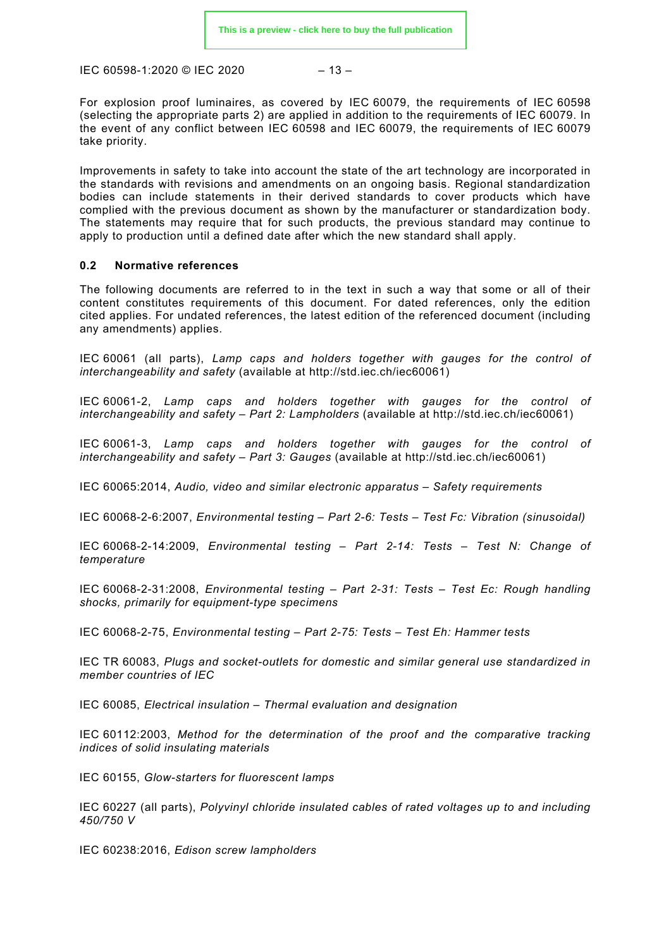$$
-13-
$$

For explosion proof luminaires, as covered by IEC 60079, the requirements of IEC 60598 (selecting the appropriate parts 2) are applied in addition to the requirements of IEC 60079. In the event of any conflict between IEC 60598 and IEC 60079, the requirements of IEC 60079 take priority.

Improvements in safety to take into account the state of the art technology are incorporated in the standards with revisions and amendments on an ongoing basis. Regional standardization bodies can include statements in their derived standards to cover products which have complied with the previous document as shown by the manufacturer or standardization body. The statements may require that for such products, the previous standard may continue to apply to production until a defined date after which the new standard shall apply.

## <span id="page-12-0"></span>**0.2 Normative references**

The following documents are referred to in the text in such a way that some or all of their content constitutes requirements of this document. For dated references, only the edition cited applies. For undated references, the latest edition of the referenced document (including any amendments) applies.

IEC 60061 (all parts), *Lamp caps and holders together with gauges for the control of interchangeability and safety* (available at http://std.iec.ch/iec60061)

IEC 60061-2, *Lamp caps and holders together with gauges for the control of interchangeability and safety – Part 2: Lampholders* (available at http://std.iec.ch/iec60061)

IEC 60061-3, *Lamp caps and holders together with gauges for the control of interchangeability and safety – Part 3: Gauges* (available at http://std.iec.ch/iec60061)

IEC 60065:2014, *Audio, video and similar electronic apparatus – Safety requirements*

IEC 60068-2-6:2007, *Environmental testing – Part 2-6: Tests – Test Fc: Vibration (sinusoidal)*

IEC 60068-2-14:2009, *Environmental testing – Part 2-14: Tests – Test N: Change of temperature*

IEC 60068-2-31:2008, *Environmental testing – Part 2-31: Tests – Test Ec: Rough handling shocks, primarily for equipment-type specimens*

IEC 60068-2-75, *Environmental testing – Part 2-75: Tests – Test Eh: Hammer tests*

IEC TR 60083, *Plugs and socket-outlets for domestic and similar general use standardized in member countries of IEC*

IEC 60085, *Electrical insulation – Thermal evaluation and designation* 

IEC 60112:2003, *Method for the determination of the proof and the comparative tracking indices of solid insulating materials*

IEC 60155, *Glow-starters for fluorescent lamps*

IEC 60227 (all parts), *Polyvinyl chloride insulated cables of rated voltages up to and including 450/750 V* 

IEC 60238:2016, *Edison screw lampholders*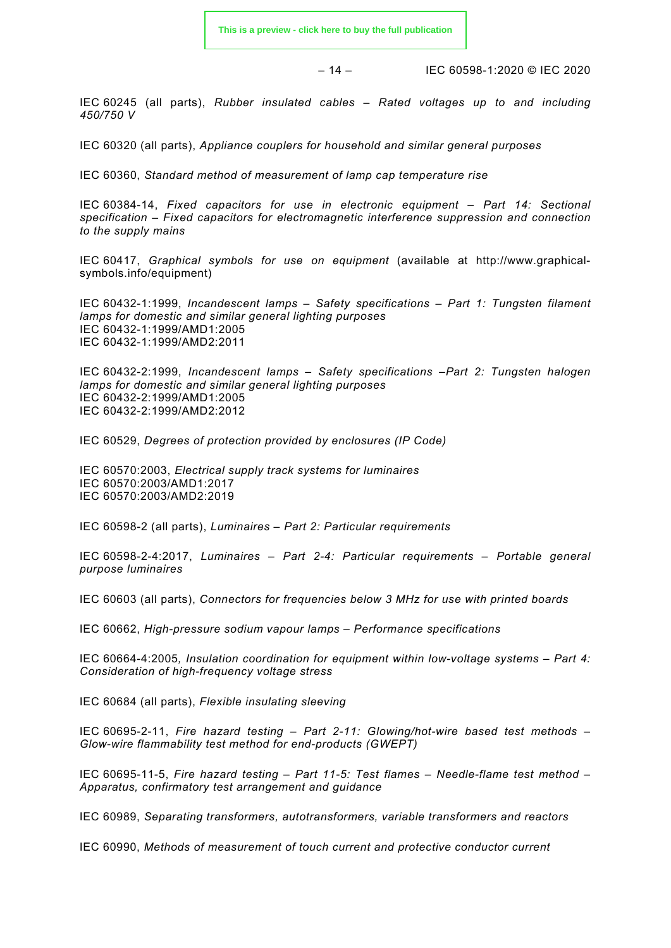– 14 – IEC 60598-1:2020 © IEC 2020

IEC 60245 (all parts), *Rubber insulated cables – Rated voltages up to and including 450/750 V* 

IEC 60320 (all parts), *Appliance couplers for household and similar general purposes*

IEC 60360, *Standard method of measurement of lamp cap temperature rise*

IEC 60384-14, *Fixed capacitors for use in electronic equipment – Part 14: Sectional specification – Fixed capacitors for electromagnetic interference suppression and connection to the supply mains*

IEC 60417, *Graphical symbols for use on equipment* (available at http://www.graphicalsymbols.info/equipment)

IEC 60432-1:1999, *Incandescent lamps – Safety specifications – Part 1: Tungsten filament lamps for domestic and similar general lighting purposes*  IEC 60432-1:1999/AMD1:2005 IEC 60432-1:1999/AMD2:2011

IEC 60432-2:1999, *Incandescent lamps – Safety specifications –Part 2: Tungsten halogen lamps for domestic and similar general lighting purposes*  IEC 60432-2:1999/AMD1:2005 IEC 60432-2:1999/AMD2:2012

IEC 60529, *Degrees of protection provided by enclosures (IP Code)*

IEC 60570:2003, *Electrical supply track systems for luminaires*  IEC 60570:2003/AMD1:2017 IEC 60570:2003/AMD2:2019

IEC 60598-2 (all parts), *Luminaires – Part 2: Particular requirements*

IEC 60598-2-4:2017, *Luminaires – Part 2-4: Particular requirements – Portable general purpose luminaires*

IEC 60603 (all parts), *Connectors for frequencies below 3 MHz for use with printed boards*

IEC 60662, *High-pressure sodium vapour lamps – Performance specifications*

IEC 60664-4:2005*, Insulation coordination for equipment within low-voltage systems – Part 4: Consideration of high-frequency voltage stress*

IEC 60684 (all parts), *Flexible insulating sleeving*

IEC 60695-2-11, *Fire hazard testing – Part 2-11: Glowing/hot-wire based test methods – Glow-wire flammability test method for end-products (GWEPT)*

IEC 60695-11-5, *Fire hazard testing – Part 11-5: Test flames – Needle-flame test method – Apparatus, confirmatory test arrangement and guidance*

IEC 60989, *Separating transformers, autotransformers, variable transformers and reactors*

IEC 60990, *Methods of measurement of touch current and protective conductor current*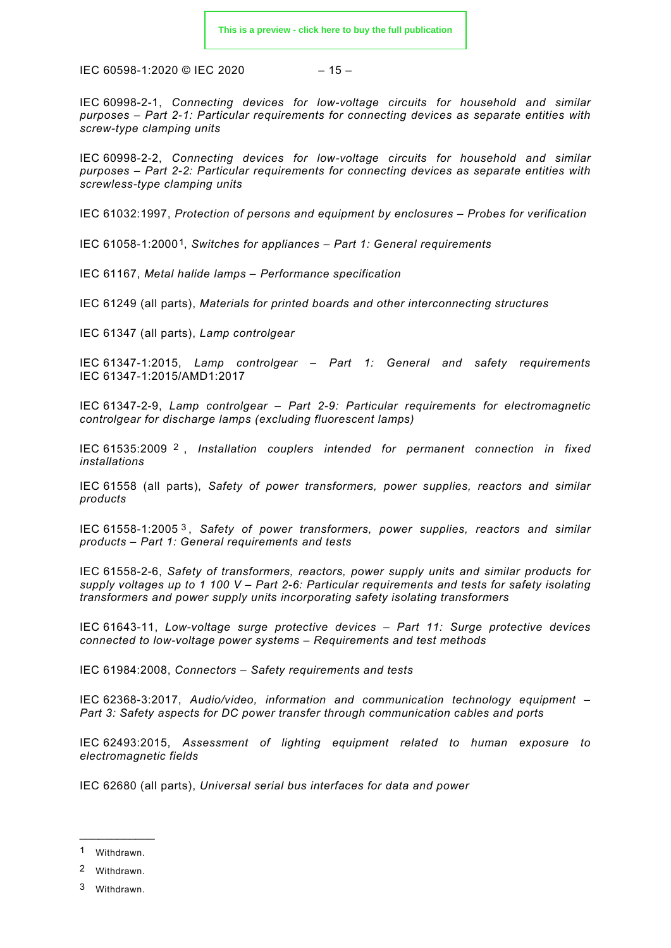$$
-15-
$$

IEC 60998-2-1, *Connecting devices for low-voltage circuits for household and similar purposes – Part 2-1: Particular requirements for connecting devices as separate entities with screw-type clamping units*

IEC 60998-2-2, *Connecting devices for low-voltage circuits for household and similar purposes – Part 2-2: Particular requirements for connecting devices as separate entities with screwless-type clamping units*

IEC 61032:1997, *Protection of persons and equipment by enclosures – Probes for verification*

IEC 61058-1:2000[1](#page-14-0), *Switches for appliances – Part 1: General requirements*

IEC 61167, *Metal halide lamps – Performance specification*

IEC 61249 (all parts), *Materials for printed boards and other interconnecting structures*

IEC 61347 (all parts), *Lamp controlgear*

IEC 61347-1:2015, *Lamp controlgear – Part 1: General and safety requirements* IEC 61347-1:2015/AMD1:2017

IEC 61347-2-9, *Lamp controlgear – Part 2-9: Particular requirements for electromagnetic controlgear for discharge lamps (excluding fluorescent lamps)*

IEC 61535:2009 [2](#page-14-1) , *Installation couplers intended for permanent connection in fixed installations*

IEC 61558 (all parts), *Safety of power transformers, power supplies, reactors and similar products*

IEC 61558-1:2005 [3](#page-14-2) , *Safety of power transformers, power supplies, reactors and similar products – Part 1: General requirements and tests*

IEC 61558-2-6, *Safety of transformers, reactors, power supply units and similar products for supply voltages up to 1 100 V – Part 2-6: Particular requirements and tests for safety isolating transformers and power supply units incorporating safety isolating transformers*

IEC 61643-11, *Low-voltage surge protective devices – Part 11: Surge protective devices connected to low-voltage power systems – Requirements and test methods*

IEC 61984:2008, *Connectors – Safety requirements and tests*

IEC 62368-3:2017, *Audio/video, information and communication technology equipment – Part 3: Safety aspects for DC power transfer through communication cables and ports*

IEC 62493:2015, *Assessment of lighting equipment related to human exposure to electromagnetic fields*

IEC 62680 (all parts), *Universal serial bus interfaces for data and power*

\_\_\_\_\_\_\_\_\_\_\_\_ 1 Withdrawn.

<span id="page-14-1"></span><span id="page-14-0"></span><sup>2</sup> Withdrawn.

<span id="page-14-2"></span><sup>3</sup> Withdrawn.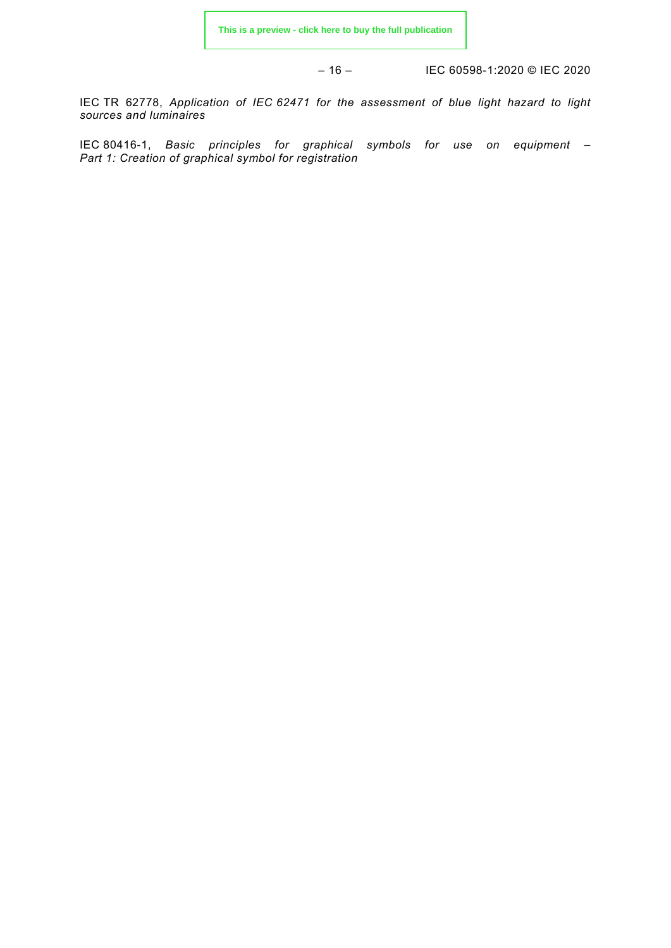– 16 – IEC 60598-1:2020 © IEC 2020

IEC TR 62778, *Application of IEC 62471 for the assessment of blue light hazard to light sources and luminaires*

<span id="page-15-1"></span><span id="page-15-0"></span>IEC 80416-1, *Basic principles for graphical symbols for use on equipment – Part 1: Creation of graphical symbol for registration*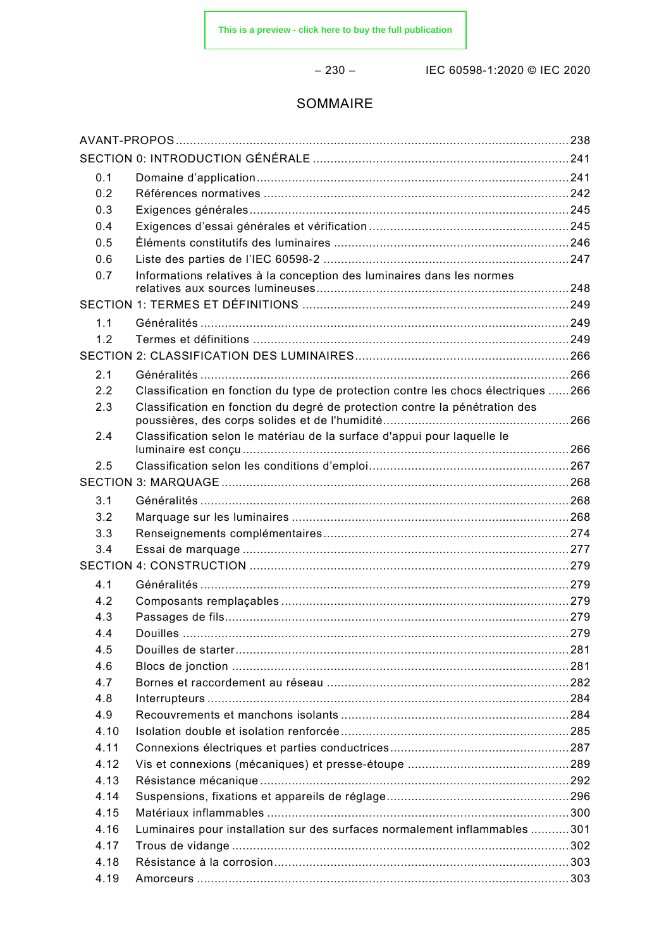– 230 – IEC 60598-1:2020 © IEC 2020

# SOMMAIRE

| 0.1  |                                                                                   |  |
|------|-----------------------------------------------------------------------------------|--|
| 0.2  |                                                                                   |  |
| 0.3  |                                                                                   |  |
| 0.4  |                                                                                   |  |
| 0.5  |                                                                                   |  |
| 0.6  |                                                                                   |  |
| 0.7  | Informations relatives à la conception des luminaires dans les normes             |  |
|      |                                                                                   |  |
| 1.1  |                                                                                   |  |
| 1.2  |                                                                                   |  |
|      |                                                                                   |  |
| 2.1  |                                                                                   |  |
| 2.2  | Classification en fonction du type de protection contre les chocs électriques 266 |  |
| 2.3  | Classification en fonction du degré de protection contre la pénétration des       |  |
|      |                                                                                   |  |
| 2.4  | Classification selon le matériau de la surface d'appui pour laquelle le           |  |
|      |                                                                                   |  |
| 2.5  |                                                                                   |  |
|      |                                                                                   |  |
| 3.1  |                                                                                   |  |
| 3.2  |                                                                                   |  |
| 3.3  |                                                                                   |  |
| 3.4  |                                                                                   |  |
|      |                                                                                   |  |
| 4.1  |                                                                                   |  |
| 4.2  |                                                                                   |  |
| 4.3  |                                                                                   |  |
| 4.4  |                                                                                   |  |
| 4.5  |                                                                                   |  |
| 4.6  |                                                                                   |  |
| 4.7  |                                                                                   |  |
| 4.8  |                                                                                   |  |
| 4.9  |                                                                                   |  |
| 4.10 |                                                                                   |  |
| 4.11 |                                                                                   |  |
| 4.12 |                                                                                   |  |
| 4.13 |                                                                                   |  |
| 4.14 |                                                                                   |  |
| 4.15 |                                                                                   |  |
| 4.16 | Luminaires pour installation sur des surfaces normalement inflammables 301        |  |
| 4.17 |                                                                                   |  |
| 4.18 |                                                                                   |  |
| 4.19 |                                                                                   |  |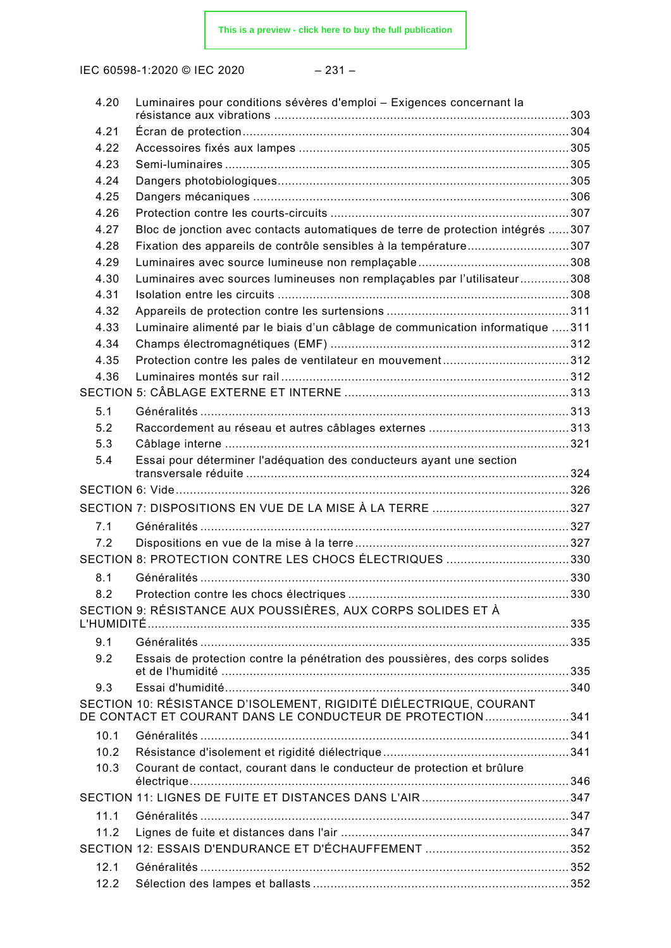IEC 60598-1:2020 © IEC 2020 – 231 –

| 4.20 | Luminaires pour conditions sévères d'emploi - Exigences concernant la           |  |
|------|---------------------------------------------------------------------------------|--|
|      |                                                                                 |  |
| 4.21 |                                                                                 |  |
| 4.22 |                                                                                 |  |
| 4.23 |                                                                                 |  |
| 4.24 |                                                                                 |  |
| 4.25 |                                                                                 |  |
| 4.26 |                                                                                 |  |
| 4.27 | Bloc de jonction avec contacts automatiques de terre de protection intégrés 307 |  |
| 4.28 | Fixation des appareils de contrôle sensibles à la température307                |  |
| 4.29 |                                                                                 |  |
| 4.30 | Luminaires avec sources lumineuses non remplaçables par l'utilisateur308        |  |
| 4.31 |                                                                                 |  |
| 4.32 |                                                                                 |  |
| 4.33 | Luminaire alimenté par le biais d'un câblage de communication informatique 311  |  |
| 4.34 |                                                                                 |  |
| 4.35 |                                                                                 |  |
| 4.36 |                                                                                 |  |
|      |                                                                                 |  |
| 5.1  |                                                                                 |  |
| 5.2  |                                                                                 |  |
| 5.3  |                                                                                 |  |
| 5.4  | Essai pour déterminer l'adéquation des conducteurs ayant une section            |  |
|      |                                                                                 |  |
|      |                                                                                 |  |
|      |                                                                                 |  |
| 7.1  |                                                                                 |  |
| 7.2  |                                                                                 |  |
|      | SECTION 8: PROTECTION CONTRE LES CHOCS ÉLECTRIQUES 330                          |  |
| 8.1  |                                                                                 |  |
|      |                                                                                 |  |
|      | SECTION 9: RÉSISTANCE AUX POUSSIÈRES, AUX CORPS SOLIDES ET À                    |  |
|      |                                                                                 |  |
| 9.1  |                                                                                 |  |
| 9.2  | Essais de protection contre la pénétration des poussières, des corps solides    |  |
|      |                                                                                 |  |
| 9.3  |                                                                                 |  |
|      | SECTION 10: RÉSISTANCE D'ISOLEMENT, RIGIDITÉ DIÉLECTRIQUE, COURANT              |  |
|      | DE CONTACT ET COURANT DANS LE CONDUCTEUR DE PROTECTION341                       |  |
| 10.1 |                                                                                 |  |
| 10.2 |                                                                                 |  |
| 10.3 | Courant de contact, courant dans le conducteur de protection et brûlure         |  |
|      |                                                                                 |  |
| 11.1 |                                                                                 |  |
| 11.2 |                                                                                 |  |
|      |                                                                                 |  |
| 12.1 |                                                                                 |  |
| 12.2 |                                                                                 |  |
|      |                                                                                 |  |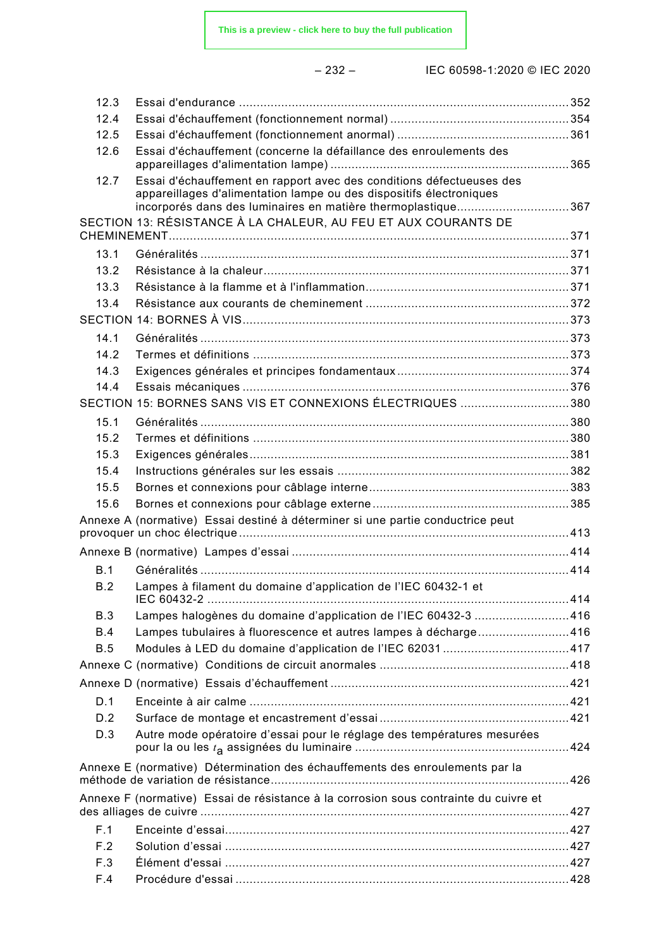– 232 – IEC 60598-1:2020 © IEC 2020

| 12.3       |                                                                                                                                                                                                             |  |
|------------|-------------------------------------------------------------------------------------------------------------------------------------------------------------------------------------------------------------|--|
| 12.4       |                                                                                                                                                                                                             |  |
| 12.5       |                                                                                                                                                                                                             |  |
| 12.6       | Essai d'échauffement (concerne la défaillance des enroulements des                                                                                                                                          |  |
| 12.7       | Essai d'échauffement en rapport avec des conditions défectueuses des<br>appareillages d'alimentation lampe ou des dispositifs électroniques<br>incorporés dans des luminaires en matière thermoplastique367 |  |
|            | SECTION 13: RÉSISTANCE À LA CHALEUR, AU FEU ET AUX COURANTS DE                                                                                                                                              |  |
|            |                                                                                                                                                                                                             |  |
| 13.1       |                                                                                                                                                                                                             |  |
| 13.2       |                                                                                                                                                                                                             |  |
| 13.3       |                                                                                                                                                                                                             |  |
| 13.4       |                                                                                                                                                                                                             |  |
|            |                                                                                                                                                                                                             |  |
| 14.1       |                                                                                                                                                                                                             |  |
| 14.2       |                                                                                                                                                                                                             |  |
| 14.3       |                                                                                                                                                                                                             |  |
| 14.4       |                                                                                                                                                                                                             |  |
|            | SECTION 15: BORNES SANS VIS ET CONNEXIONS ÉLECTRIQUES 380                                                                                                                                                   |  |
| 15.1       |                                                                                                                                                                                                             |  |
| 15.2       |                                                                                                                                                                                                             |  |
| 15.3       |                                                                                                                                                                                                             |  |
| 15.4       |                                                                                                                                                                                                             |  |
| 15.5       |                                                                                                                                                                                                             |  |
| 15.6       |                                                                                                                                                                                                             |  |
|            | Annexe A (normative) Essai destiné à déterminer si une partie conductrice peut                                                                                                                              |  |
|            |                                                                                                                                                                                                             |  |
| B.1        |                                                                                                                                                                                                             |  |
| B.2        | Lampes à filament du domaine d'application de l'IEC 60432-1 et                                                                                                                                              |  |
| B.3        | Lampes halogènes du domaine d'application de l'IEC 60432-3 416                                                                                                                                              |  |
| <b>B.4</b> | Lampes tubulaires à fluorescence et autres lampes à décharge416                                                                                                                                             |  |
| B.5        |                                                                                                                                                                                                             |  |
|            |                                                                                                                                                                                                             |  |
|            |                                                                                                                                                                                                             |  |
| D.1        |                                                                                                                                                                                                             |  |
| D.2        |                                                                                                                                                                                                             |  |
| D.3        | Autre mode opératoire d'essai pour le réglage des températures mesurées                                                                                                                                     |  |
|            | Annexe E (normative) Détermination des échauffements des enroulements par la                                                                                                                                |  |
|            | Annexe F (normative) Essai de résistance à la corrosion sous contrainte du cuivre et                                                                                                                        |  |
| F.1        |                                                                                                                                                                                                             |  |
| F.2        |                                                                                                                                                                                                             |  |
| F.3        |                                                                                                                                                                                                             |  |
| F.4        |                                                                                                                                                                                                             |  |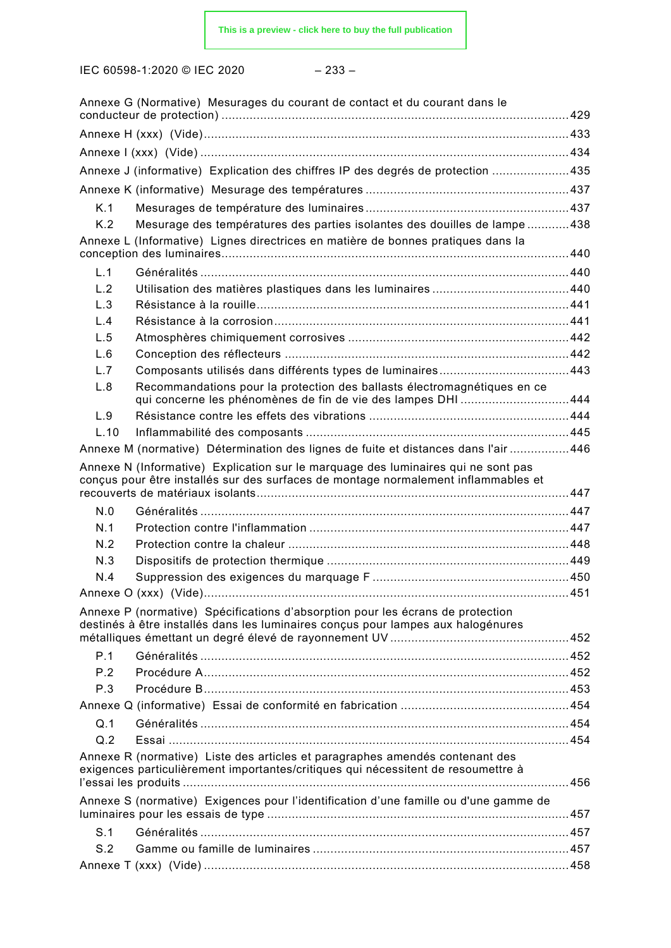IEC 60598-1:2020 © IEC 2020 – 233 –

|                                                                                                                                                                         | Annexe G (Normative) Mesurages du courant de contact et du courant dans le                                                                                         |  |
|-------------------------------------------------------------------------------------------------------------------------------------------------------------------------|--------------------------------------------------------------------------------------------------------------------------------------------------------------------|--|
|                                                                                                                                                                         |                                                                                                                                                                    |  |
|                                                                                                                                                                         |                                                                                                                                                                    |  |
|                                                                                                                                                                         | Annexe J (informative) Explication des chiffres IP des degrés de protection 435                                                                                    |  |
|                                                                                                                                                                         |                                                                                                                                                                    |  |
| K.1                                                                                                                                                                     |                                                                                                                                                                    |  |
| K.2                                                                                                                                                                     | Mesurage des températures des parties isolantes des douilles de lampe 438                                                                                          |  |
|                                                                                                                                                                         | Annexe L (Informative) Lignes directrices en matière de bonnes pratiques dans la                                                                                   |  |
| L.1                                                                                                                                                                     |                                                                                                                                                                    |  |
| L.2                                                                                                                                                                     |                                                                                                                                                                    |  |
| L.3                                                                                                                                                                     |                                                                                                                                                                    |  |
| L.4                                                                                                                                                                     |                                                                                                                                                                    |  |
| L.5                                                                                                                                                                     |                                                                                                                                                                    |  |
| L.6                                                                                                                                                                     |                                                                                                                                                                    |  |
| L.7                                                                                                                                                                     |                                                                                                                                                                    |  |
| L.8                                                                                                                                                                     | Recommandations pour la protection des ballasts électromagnétiques en ce<br>qui concerne les phénomènes de fin de vie des lampes DHI 444                           |  |
| L.9                                                                                                                                                                     |                                                                                                                                                                    |  |
| L.10                                                                                                                                                                    |                                                                                                                                                                    |  |
|                                                                                                                                                                         | Annexe M (normative) Détermination des lignes de fuite et distances dans l'air 446                                                                                 |  |
| Annexe N (Informative) Explication sur le marquage des luminaires qui ne sont pas<br>conçus pour être installés sur des surfaces de montage normalement inflammables et |                                                                                                                                                                    |  |
|                                                                                                                                                                         |                                                                                                                                                                    |  |
| N.0<br>N.1                                                                                                                                                              |                                                                                                                                                                    |  |
| N.2                                                                                                                                                                     |                                                                                                                                                                    |  |
| N.3                                                                                                                                                                     |                                                                                                                                                                    |  |
| N.4                                                                                                                                                                     |                                                                                                                                                                    |  |
|                                                                                                                                                                         |                                                                                                                                                                    |  |
|                                                                                                                                                                         |                                                                                                                                                                    |  |
|                                                                                                                                                                         | Annexe P (normative) Spécifications d'absorption pour les écrans de protection<br>destinés à être installés dans les luminaires conçus pour lampes aux halogénures |  |
|                                                                                                                                                                         |                                                                                                                                                                    |  |
| P.1                                                                                                                                                                     |                                                                                                                                                                    |  |
| P.2                                                                                                                                                                     |                                                                                                                                                                    |  |
| P.3                                                                                                                                                                     |                                                                                                                                                                    |  |
|                                                                                                                                                                         |                                                                                                                                                                    |  |
| Q.1                                                                                                                                                                     |                                                                                                                                                                    |  |
| Q.2                                                                                                                                                                     |                                                                                                                                                                    |  |
|                                                                                                                                                                         | Annexe R (normative) Liste des articles et paragraphes amendés contenant des<br>exigences particulièrement importantes/critiques qui nécessitent de resoumettre à  |  |
|                                                                                                                                                                         | Annexe S (normative) Exigences pour l'identification d'une famille ou d'une gamme de                                                                               |  |
| S.1                                                                                                                                                                     |                                                                                                                                                                    |  |
| S.2                                                                                                                                                                     |                                                                                                                                                                    |  |
|                                                                                                                                                                         |                                                                                                                                                                    |  |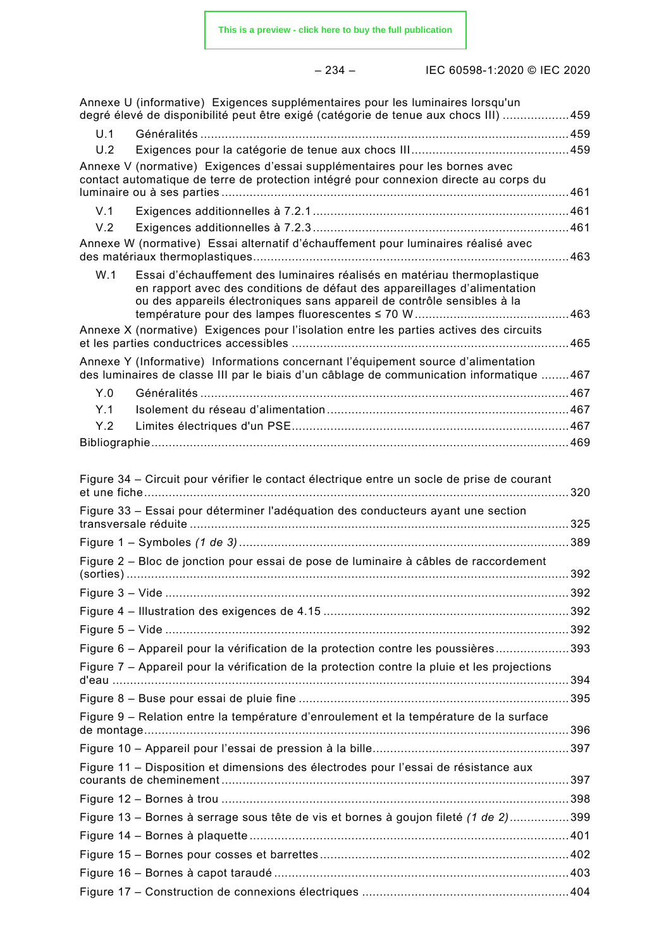|--|--|

|     | Annexe U (informative) Exigences supplémentaires pour les luminaires lorsqu'un<br>degré élevé de disponibilité peut être exigé (catégorie de tenue aux chocs III) 459                                                            |  |
|-----|----------------------------------------------------------------------------------------------------------------------------------------------------------------------------------------------------------------------------------|--|
| U.1 |                                                                                                                                                                                                                                  |  |
| U.2 |                                                                                                                                                                                                                                  |  |
|     | Annexe V (normative) Exigences d'essai supplémentaires pour les bornes avec<br>contact automatique de terre de protection intégré pour connexion directe au corps du                                                             |  |
| V.1 |                                                                                                                                                                                                                                  |  |
| V.2 |                                                                                                                                                                                                                                  |  |
|     | Annexe W (normative) Essai alternatif d'échauffement pour luminaires réalisé avec                                                                                                                                                |  |
| W.1 | Essai d'échauffement des luminaires réalisés en matériau thermoplastique<br>en rapport avec des conditions de défaut des appareillages d'alimentation<br>ou des appareils électroniques sans appareil de contrôle sensibles à la |  |
|     | Annexe X (normative) Exigences pour l'isolation entre les parties actives des circuits                                                                                                                                           |  |
|     | Annexe Y (Informative) Informations concernant l'équipement source d'alimentation<br>des luminaires de classe III par le biais d'un câblage de communication informatique 467                                                    |  |
| Y.0 |                                                                                                                                                                                                                                  |  |
| Y.1 |                                                                                                                                                                                                                                  |  |
| Y.2 |                                                                                                                                                                                                                                  |  |
|     |                                                                                                                                                                                                                                  |  |
|     | Figure 34 – Circuit pour vérifier le contact électrique entre un socle de prise de courant                                                                                                                                       |  |
|     | Figure 33 - Essai pour déterminer l'adéquation des conducteurs ayant une section                                                                                                                                                 |  |
|     |                                                                                                                                                                                                                                  |  |
|     | Figure 2 - Bloc de jonction pour essai de pose de luminaire à câbles de raccordement                                                                                                                                             |  |
|     |                                                                                                                                                                                                                                  |  |
|     | Figure 4 – Illustration des exigences de 4.15 ……………………………………………………………………………………………                                                                                                                                                |  |
|     |                                                                                                                                                                                                                                  |  |
|     | Figure 6 - Appareil pour la vérification de la protection contre les poussières393                                                                                                                                               |  |
|     | Figure 7 - Appareil pour la vérification de la protection contre la pluie et les projections                                                                                                                                     |  |
|     |                                                                                                                                                                                                                                  |  |
|     | Figure 9 - Relation entre la température d'enroulement et la température de la surface                                                                                                                                           |  |
|     |                                                                                                                                                                                                                                  |  |
|     | Figure 11 - Disposition et dimensions des électrodes pour l'essai de résistance aux                                                                                                                                              |  |
|     |                                                                                                                                                                                                                                  |  |
|     | Figure 13 – Bornes à serrage sous tête de vis et bornes à goujon fileté (1 de 2)399                                                                                                                                              |  |
|     |                                                                                                                                                                                                                                  |  |
|     |                                                                                                                                                                                                                                  |  |
|     |                                                                                                                                                                                                                                  |  |
|     |                                                                                                                                                                                                                                  |  |
|     |                                                                                                                                                                                                                                  |  |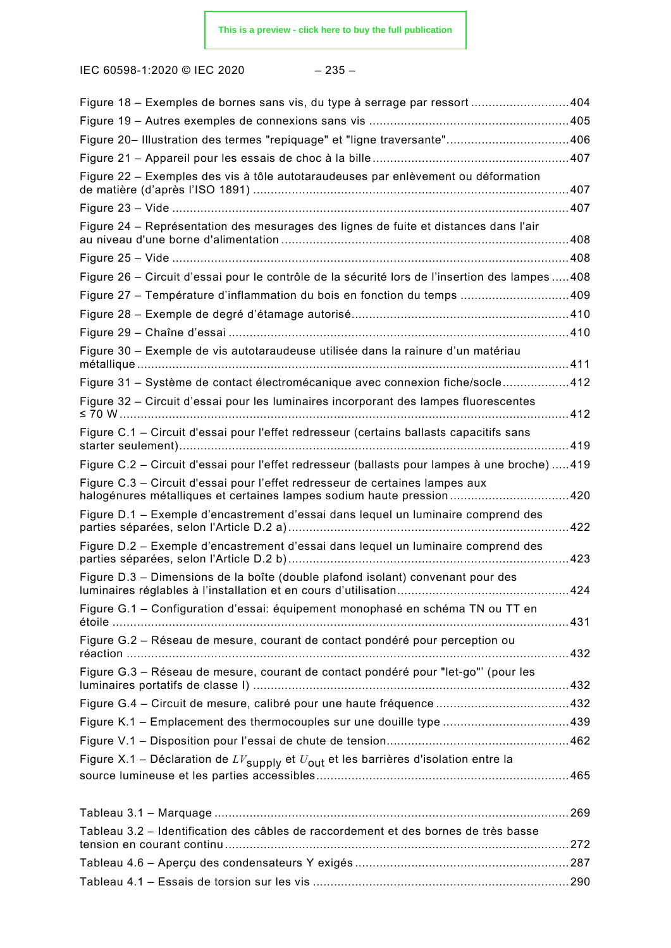|--|--|

| Figure 18 - Exemples de bornes sans vis, du type à serrage par ressort 404                                                                                  |             |
|-------------------------------------------------------------------------------------------------------------------------------------------------------------|-------------|
|                                                                                                                                                             |             |
| Figure 20- Illustration des termes "repiquage" et "ligne traversante" 406                                                                                   |             |
|                                                                                                                                                             |             |
| Figure 22 - Exemples des vis à tôle autotaraudeuses par enlèvement ou déformation                                                                           |             |
|                                                                                                                                                             |             |
| Figure 24 - Représentation des mesurages des lignes de fuite et distances dans l'air                                                                        |             |
|                                                                                                                                                             | $\dots$ 408 |
| Figure 26 - Circuit d'essai pour le contrôle de la sécurité lors de l'insertion des lampes  408                                                             |             |
| Figure 27 - Température d'inflammation du bois en fonction du temps 409                                                                                     |             |
|                                                                                                                                                             |             |
|                                                                                                                                                             |             |
| Figure 30 - Exemple de vis autotaraudeuse utilisée dans la rainure d'un matériau                                                                            |             |
| Figure 31 - Système de contact électromécanique avec connexion fiche/socle412                                                                               |             |
| Figure 32 - Circuit d'essai pour les luminaires incorporant des lampes fluorescentes                                                                        |             |
| Figure C.1 - Circuit d'essai pour l'effet redresseur (certains ballasts capacitifs sans                                                                     |             |
| Figure C.2 – Circuit d'essai pour l'effet redresseur (ballasts pour lampes à une broche) 419                                                                |             |
| Figure C.3 - Circuit d'essai pour l'effet redresseur de certaines lampes aux<br>halogénures métalliques et certaines lampes sodium haute pression420        |             |
| Figure D.1 – Exemple d'encastrement d'essai dans lequel un luminaire comprend des<br>parties séparées, selon l'Article D.2 a)………………………………………………………………………422 |             |
| Figure D.2 - Exemple d'encastrement d'essai dans lequel un luminaire comprend des                                                                           |             |
| Figure D.3 - Dimensions de la boîte (double plafond isolant) convenant pour des                                                                             |             |
| Figure G.1 - Configuration d'essai: équipement monophasé en schéma TN ou TT en                                                                              |             |
| Figure G.2 - Réseau de mesure, courant de contact pondéré pour perception ou                                                                                |             |
| Figure G.3 - Réseau de mesure, courant de contact pondéré pour "let-go"' (pour les                                                                          |             |
|                                                                                                                                                             |             |
| Figure K.1 – Emplacement des thermocouples sur une douille type 439                                                                                         |             |
|                                                                                                                                                             |             |
| Figure X.1 – Déclaration de $LV_{\text{supply}}$ et $U_{\text{out}}$ et les barrières d'isolation entre la                                                  |             |
|                                                                                                                                                             |             |
| Tableau 3.2 - Identification des câbles de raccordement et des bornes de très basse                                                                         |             |
|                                                                                                                                                             |             |
|                                                                                                                                                             |             |
|                                                                                                                                                             |             |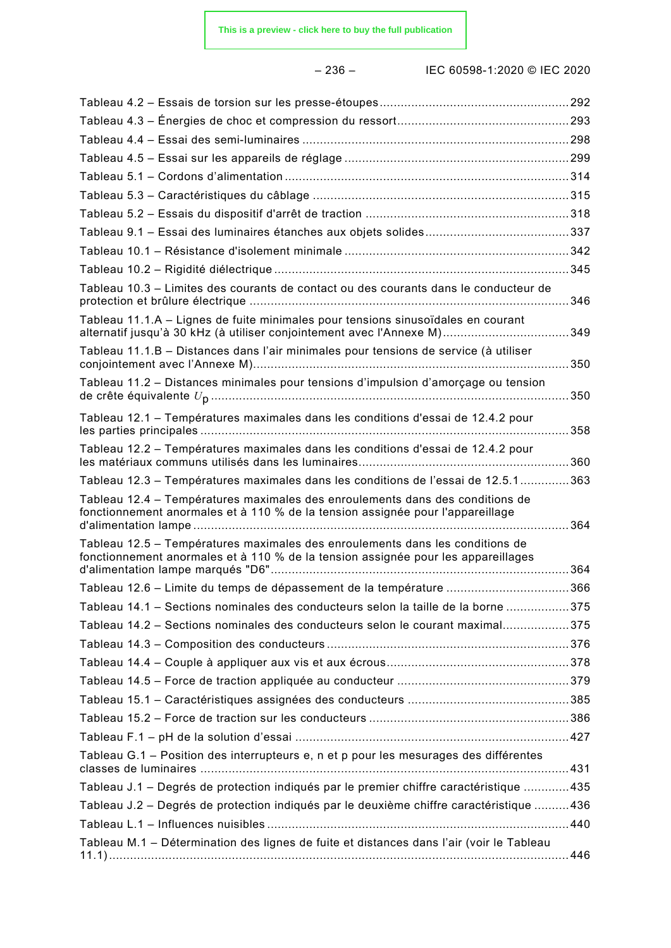– 236 – IEC 60598-1:2020 © IEC 2020

| Tableau 10.3 - Limites des courants de contact ou des courants dans le conducteur de                                                                               |  |
|--------------------------------------------------------------------------------------------------------------------------------------------------------------------|--|
| Tableau 11.1.A - Lignes de fuite minimales pour tensions sinusoïdales en courant<br>alternatif jusqu'à 30 kHz (à utiliser conjointement avec l'Annexe M)349        |  |
| Tableau 11.1.B - Distances dans l'air minimales pour tensions de service (à utiliser                                                                               |  |
| Tableau 11.2 - Distances minimales pour tensions d'impulsion d'amorçage ou tension                                                                                 |  |
| Tableau 12.1 - Températures maximales dans les conditions d'essai de 12.4.2 pour                                                                                   |  |
| Tableau 12.2 – Températures maximales dans les conditions d'essai de 12.4.2 pour                                                                                   |  |
| Tableau 12.3 - Températures maximales dans les conditions de l'essai de 12.5.1363                                                                                  |  |
| Tableau 12.4 – Températures maximales des enroulements dans des conditions de<br>fonctionnement anormales et à 110 % de la tension assignée pour l'appareillage    |  |
| Tableau 12.5 – Températures maximales des enroulements dans les conditions de<br>fonctionnement anormales et à 110 % de la tension assignée pour les appareillages |  |
| Tableau 12.6 - Limite du temps de dépassement de la température 366                                                                                                |  |
| Tableau 14.1 - Sections nominales des conducteurs selon la taille de la borne 375                                                                                  |  |
| Tableau 14.2 - Sections nominales des conducteurs selon le courant maximal375                                                                                      |  |
|                                                                                                                                                                    |  |
|                                                                                                                                                                    |  |
|                                                                                                                                                                    |  |
|                                                                                                                                                                    |  |
|                                                                                                                                                                    |  |
|                                                                                                                                                                    |  |
| Tableau G.1 - Position des interrupteurs e, n et p pour les mesurages des différentes                                                                              |  |
| Tableau J.1 - Degrés de protection indiqués par le premier chiffre caractéristique 435                                                                             |  |
| Tableau J.2 - Degrés de protection indiqués par le deuxième chiffre caractéristique 436                                                                            |  |
|                                                                                                                                                                    |  |
| Tableau M.1 - Détermination des lignes de fuite et distances dans l'air (voir le Tableau                                                                           |  |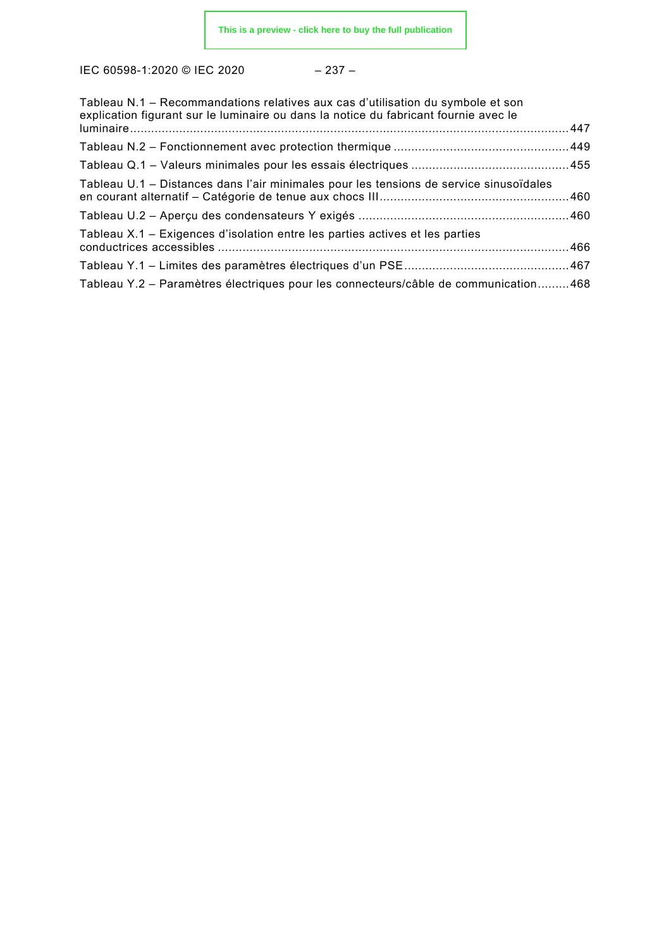| ٠<br>٧ |  |
|--------|--|
|--------|--|

| Tableau N.1 - Recommandations relatives aux cas d'utilisation du symbole et son<br>explication figurant sur le luminaire ou dans la notice du fabricant fournie avec le |  |
|-------------------------------------------------------------------------------------------------------------------------------------------------------------------------|--|
|                                                                                                                                                                         |  |
|                                                                                                                                                                         |  |
|                                                                                                                                                                         |  |
| Tableau U.1 – Distances dans l'air minimales pour les tensions de service sinusoïdales                                                                                  |  |
|                                                                                                                                                                         |  |
| Tableau X.1 – Exigences d'isolation entre les parties actives et les parties                                                                                            |  |
|                                                                                                                                                                         |  |
| Tableau Y.2 - Paramètres électriques pour les connecteurs/câble de communication468                                                                                     |  |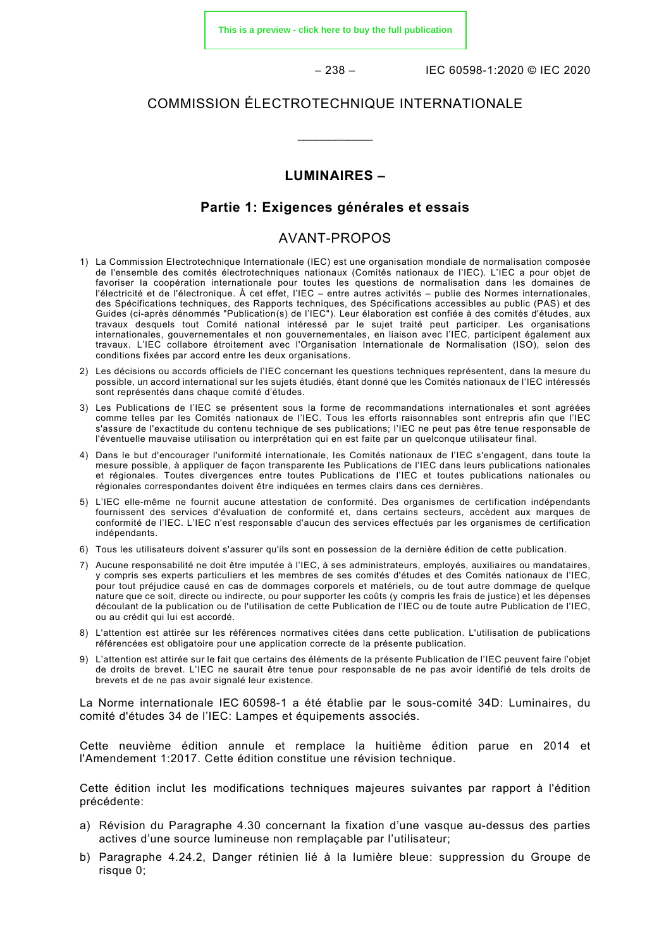**[This is a preview - click here to buy the full publication](https://webstore.iec.ch/publication/61414&preview)**

– 238 – IEC 60598-1:2020 © IEC 2020

# COMMISSION ÉLECTROTECHNIQUE INTERNATIONALE

\_\_\_\_\_\_\_\_\_\_\_\_

# **LUMINAIRES –**

# **Partie 1: Exigences générales et essais**

# AVANT-PROPOS

- <span id="page-24-0"></span>1) La Commission Electrotechnique Internationale (IEC) est une organisation mondiale de normalisation composée de l'ensemble des comités électrotechniques nationaux (Comités nationaux de l'IEC). L'IEC a pour objet de favoriser la coopération internationale pour toutes les questions de normalisation dans les domaines de l'électricité et de l'électronique. À cet effet, l'IEC – entre autres activités – publie des Normes internationales, des Spécifications techniques, des Rapports techniques, des Spécifications accessibles au public (PAS) et des Guides (ci-après dénommés "Publication(s) de l'IEC"). Leur élaboration est confiée à des comités d'études, aux travaux desquels tout Comité national intéressé par le sujet traité peut participer. Les organisations internationales, gouvernementales et non gouvernementales, en liaison avec l'IEC, participent également aux travaux. L'IEC collabore étroitement avec l'Organisation Internationale de Normalisation (ISO), selon des conditions fixées par accord entre les deux organisations.
- 2) Les décisions ou accords officiels de l'IEC concernant les questions techniques représentent, dans la mesure du possible, un accord international sur les sujets étudiés, étant donné que les Comités nationaux de l'IEC intéressés sont représentés dans chaque comité d'études.
- 3) Les Publications de l'IEC se présentent sous la forme de recommandations internationales et sont agréées comme telles par les Comités nationaux de l'IEC. Tous les efforts raisonnables sont entrepris afin que l'IEC s'assure de l'exactitude du contenu technique de ses publications; l'IEC ne peut pas être tenue responsable de l'éventuelle mauvaise utilisation ou interprétation qui en est faite par un quelconque utilisateur final.
- 4) Dans le but d'encourager l'uniformité internationale, les Comités nationaux de l'IEC s'engagent, dans toute la mesure possible, à appliquer de façon transparente les Publications de l'IEC dans leurs publications nationales et régionales. Toutes divergences entre toutes Publications de l'IEC et toutes publications nationales ou régionales correspondantes doivent être indiquées en termes clairs dans ces dernières.
- 5) L'IEC elle-même ne fournit aucune attestation de conformité. Des organismes de certification indépendants fournissent des services d'évaluation de conformité et, dans certains secteurs, accèdent aux marques de conformité de l'IEC. L'IEC n'est responsable d'aucun des services effectués par les organismes de certification indépendants.
- 6) Tous les utilisateurs doivent s'assurer qu'ils sont en possession de la dernière édition de cette publication.
- 7) Aucune responsabilité ne doit être imputée à l'IEC, à ses administrateurs, employés, auxiliaires ou mandataires, y compris ses experts particuliers et les membres de ses comités d'études et des Comités nationaux de l'IEC, pour tout préjudice causé en cas de dommages corporels et matériels, ou de tout autre dommage de quelque nature que ce soit, directe ou indirecte, ou pour supporter les coûts (y compris les frais de justice) et les dépenses découlant de la publication ou de l'utilisation de cette Publication de l'IEC ou de toute autre Publication de l'IEC, ou au crédit qui lui est accordé.
- 8) L'attention est attirée sur les références normatives citées dans cette publication. L'utilisation de publications référencées est obligatoire pour une application correcte de la présente publication.
- 9) L'attention est attirée sur le fait que certains des éléments de la présente Publication de l'IEC peuvent faire l'objet de droits de brevet. L'IEC ne saurait être tenue pour responsable de ne pas avoir identifié de tels droits de brevets et de ne pas avoir signalé leur existence.

La Norme internationale IEC 60598-1 a été établie par le sous-comité 34D: Luminaires, du comité d'études 34 de l'IEC: Lampes et équipements associés.

Cette neuvième édition annule et remplace la huitième édition parue en 2014 et l'Amendement 1:2017. Cette édition constitue une révision technique.

Cette édition inclut les modifications techniques majeures suivantes par rapport à l'édition précédente:

- a) Révision du Paragraphe 4.30 concernant la fixation d'une vasque au-dessus des parties actives d'une source lumineuse non remplaçable par l'utilisateur;
- b) Paragraphe 4.24.2, Danger rétinien lié à la lumière bleue: suppression du Groupe de risque 0;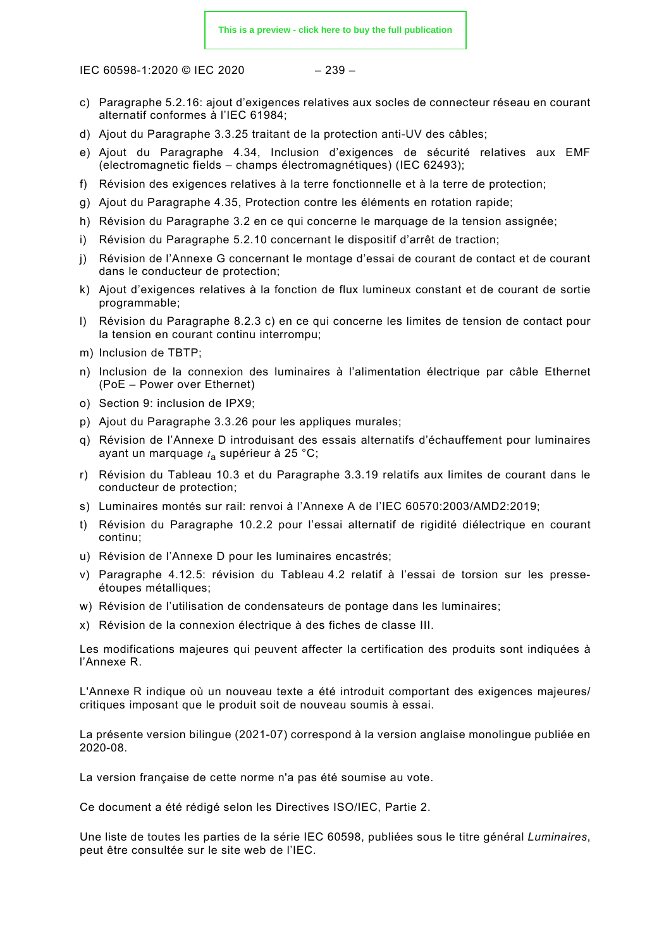IEC 60598-1:2020 © IEC 2020 – 239 –

- c) Paragraphe 5.2.16: ajout d'exigences relatives aux socles de connecteur réseau en courant alternatif conformes à l'IEC 61984;
- d) Ajout du Paragraphe 3.3.25 traitant de la protection anti-UV des câbles;
- e) Ajout du Paragraphe 4.34, Inclusion d'exigences de sécurité relatives aux EMF (electromagnetic fields – champs électromagnétiques) (IEC 62493);
- f) Révision des exigences relatives à la terre fonctionnelle et à la terre de protection;
- g) Ajout du Paragraphe 4.35, Protection contre les éléments en rotation rapide;
- h) Révision du Paragraphe 3.2 en ce qui concerne le marquage de la tension assignée;
- i) Révision du Paragraphe 5.2.10 concernant le dispositif d'arrêt de traction;
- j) Révision de l'Annexe G concernant le montage d'essai de courant de contact et de courant dans le conducteur de protection;
- k) Ajout d'exigences relatives à la fonction de flux lumineux constant et de courant de sortie programmable;
- l) Révision du Paragraphe 8.2.3 c) en ce qui concerne les limites de tension de contact pour la tension en courant continu interrompu;
- m) Inclusion de TBTP;
- n) Inclusion de la connexion des luminaires à l'alimentation électrique par câble Ethernet (PoE – Power over Ethernet)
- o) Section 9: inclusion de IPX9;
- p) Ajout du Paragraphe 3.3.26 pour les appliques murales;
- q) Révision de l'Annexe D introduisant des essais alternatifs d'échauffement pour luminaires ayant un marquage *t*<sup>a</sup> supérieur à 25 °C;
- r) Révision du Tableau 10.3 et du Paragraphe 3.3.19 relatifs aux limites de courant dans le conducteur de protection;
- s) Luminaires montés sur rail: renvoi à l'Annexe A de l'IEC 60570:2003/AMD2:2019;
- t) Révision du Paragraphe 10.2.2 pour l'essai alternatif de rigidité diélectrique en courant continu;
- u) Révision de l'Annexe D pour les luminaires encastrés;
- v) Paragraphe 4.12.5: révision du Tableau 4.2 relatif à l'essai de torsion sur les presseétoupes métalliques;
- w) Révision de l'utilisation de condensateurs de pontage dans les luminaires;
- x) Révision de la connexion électrique à des fiches de classe III.

Les modifications majeures qui peuvent affecter la certification des produits sont indiquées à l'Annexe R.

L'Annexe R indique où un nouveau texte a été introduit comportant des exigences majeures/ critiques imposant que le produit soit de nouveau soumis à essai.

La présente version bilingue (2021-07) correspond à la version anglaise monolingue publiée en 2020-08.

La version française de cette norme n'a pas été soumise au vote.

Ce document a été rédigé selon les Directives ISO/IEC, Partie 2.

Une liste de toutes les parties de la série IEC 60598, publiées sous le titre général *Luminaires*, peut être consultée sur le site web de l'IEC.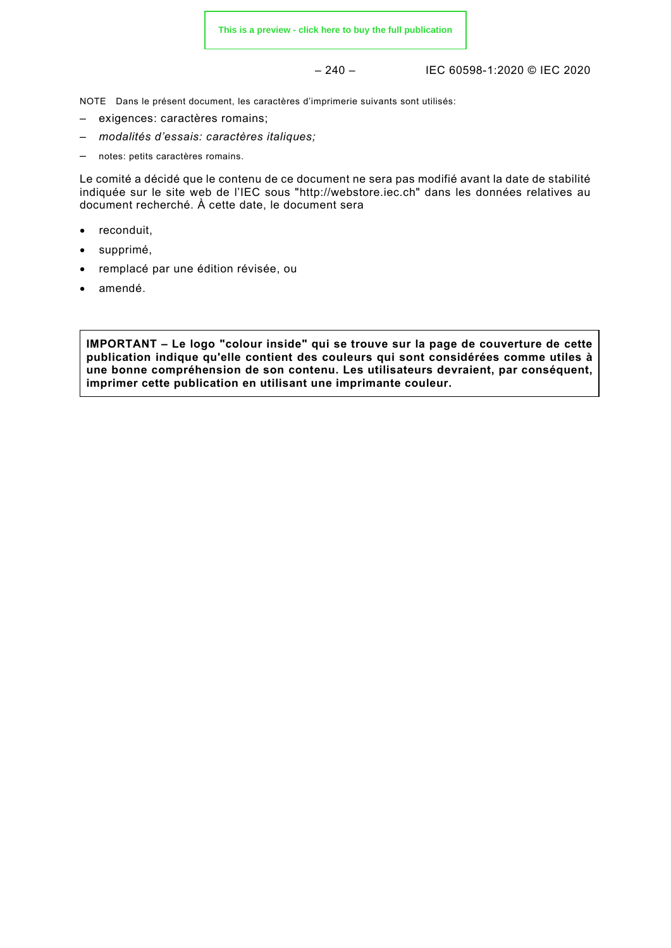– 240 – IEC 60598-1:2020 © IEC 2020

NOTE Dans le présent document, les caractères d'imprimerie suivants sont utilisés:

- exigences: caractères romains;
- *modalités d'essais: caractères italiques;*
- notes: petits caractères romains.

Le comité a décidé que le contenu de ce document ne sera pas modifié avant la date de stabilité indiquée sur le site web de l'IEC sous "http://webstore.iec.ch" dans les données relatives au document recherché. À cette date, le document sera

- reconduit,
- supprimé,
- remplacé par une édition révisée, ou
- amendé.

**IMPORTANT – Le logo "colour inside" qui se trouve sur la page de couverture de cette publication indique qu'elle contient des couleurs qui sont considérées comme utiles à une bonne compréhension de son contenu. Les utilisateurs devraient, par conséquent, imprimer cette publication en utilisant une imprimante couleur.**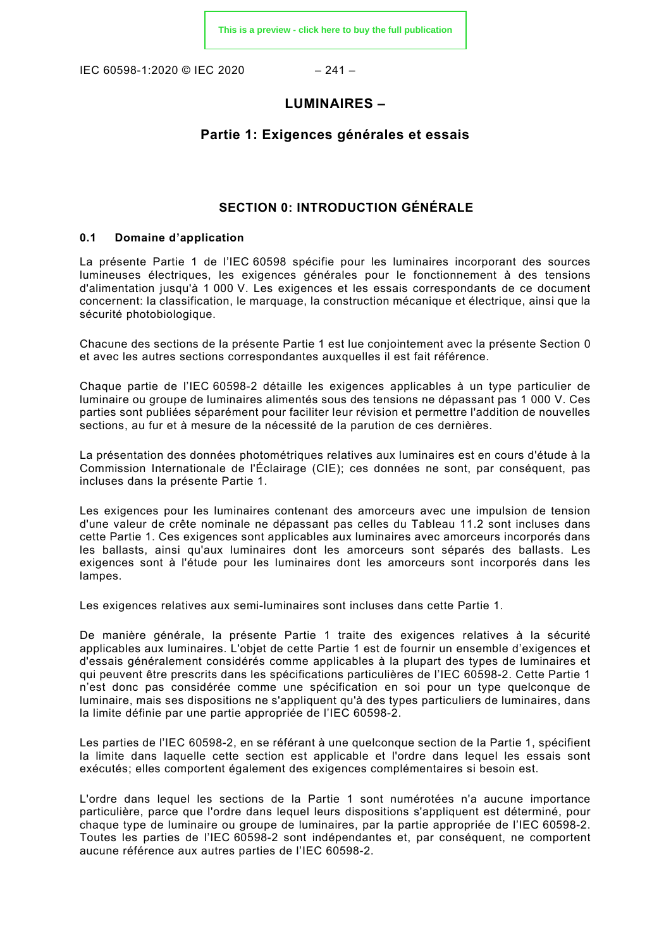IEC 60598-1:2020 © IEC 2020 – 241 –

# **LUMINAIRES –**

# **Partie 1: Exigences générales et essais**

# **SECTION 0: INTRODUCTION GÉNÉRALE**

## <span id="page-27-1"></span><span id="page-27-0"></span>**0.1 Domaine d'application**

La présente Partie 1 de l'IEC 60598 spécifie pour les luminaires incorporant des sources lumineuses électriques, les exigences générales pour le fonctionnement à des tensions d'alimentation jusqu'à 1 000 V. Les exigences et les essais correspondants de ce document concernent: la classification, le marquage, la construction mécanique et électrique, ainsi que la sécurité photobiologique.

Chacune des sections de la présente Partie 1 est lue conjointement avec la présente Section 0 et avec les autres sections correspondantes auxquelles il est fait référence.

Chaque partie de l'IEC 60598-2 détaille les exigences applicables à un type particulier de luminaire ou groupe de luminaires alimentés sous des tensions ne dépassant pas 1 000 V. Ces parties sont publiées séparément pour faciliter leur révision et permettre l'addition de nouvelles sections, au fur et à mesure de la nécessité de la parution de ces dernières.

La présentation des données photométriques relatives aux luminaires est en cours d'étude à la Commission Internationale de l'Éclairage (CIE); ces données ne sont, par conséquent, pas incluses dans la présente Partie 1.

Les exigences pour les luminaires contenant des amorceurs avec une impulsion de tension d'une valeur de crête nominale ne dépassant pas celles du Tableau 11.2 sont incluses dans cette Partie 1. Ces exigences sont applicables aux luminaires avec amorceurs incorporés dans les ballasts, ainsi qu'aux luminaires dont les amorceurs sont séparés des ballasts. Les exigences sont à l'étude pour les luminaires dont les amorceurs sont incorporés dans les lampes.

Les exigences relatives aux semi-luminaires sont incluses dans cette Partie 1.

De manière générale, la présente Partie 1 traite des exigences relatives à la sécurité applicables aux luminaires. L'objet de cette Partie 1 est de fournir un ensemble d'exigences et d'essais généralement considérés comme applicables à la plupart des types de luminaires et qui peuvent être prescrits dans les spécifications particulières de l'IEC 60598-2. Cette Partie 1 n'est donc pas considérée comme une spécification en soi pour un type quelconque de luminaire, mais ses dispositions ne s'appliquent qu'à des types particuliers de luminaires, dans la limite définie par une partie appropriée de l'IEC 60598-2.

Les parties de l'IEC 60598-2, en se référant à une quelconque section de la Partie 1, spécifient la limite dans laquelle cette section est applicable et l'ordre dans lequel les essais sont exécutés; elles comportent également des exigences complémentaires si besoin est.

L'ordre dans lequel les sections de la Partie 1 sont numérotées n'a aucune importance particulière, parce que l'ordre dans lequel leurs dispositions s'appliquent est déterminé, pour chaque type de luminaire ou groupe de luminaires, par la partie appropriée de l'IEC 60598-2. Toutes les parties de l'IEC 60598-2 sont indépendantes et, par conséquent, ne comportent aucune référence aux autres parties de l'IEC 60598-2.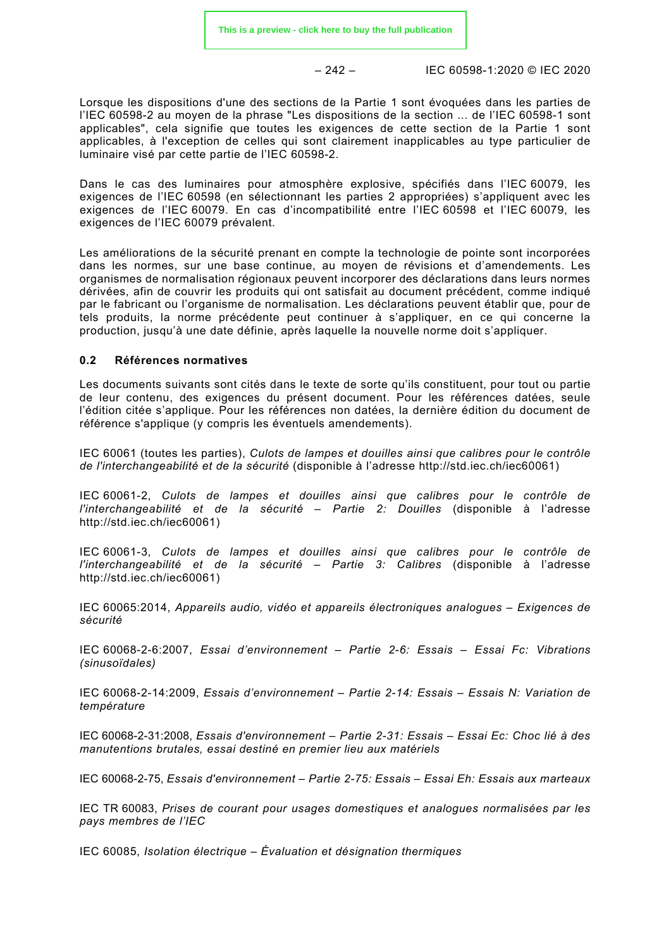– 242 – IEC 60598-1:2020 © IEC 2020

Lorsque les dispositions d'une des sections de la Partie 1 sont évoquées dans les parties de l'IEC 60598-2 au moyen de la phrase "Les dispositions de la section ... de l'IEC 60598-1 sont applicables", cela signifie que toutes les exigences de cette section de la Partie 1 sont applicables, à l'exception de celles qui sont clairement inapplicables au type particulier de luminaire visé par cette partie de l'IEC 60598-2.

Dans le cas des luminaires pour atmosphère explosive, spécifiés dans l'IEC 60079, les exigences de l'IEC 60598 (en sélectionnant les parties 2 appropriées) s'appliquent avec les exigences de l'IEC 60079. En cas d'incompatibilité entre l'IEC 60598 et l'IEC 60079, les exigences de l'IEC 60079 prévalent.

Les améliorations de la sécurité prenant en compte la technologie de pointe sont incorporées dans les normes, sur une base continue, au moyen de révisions et d'amendements. Les organismes de normalisation régionaux peuvent incorporer des déclarations dans leurs normes dérivées, afin de couvrir les produits qui ont satisfait au document précédent, comme indiqué par le fabricant ou l'organisme de normalisation. Les déclarations peuvent établir que, pour de tels produits, la norme précédente peut continuer à s'appliquer, en ce qui concerne la production, jusqu'à une date définie, après laquelle la nouvelle norme doit s'appliquer.

## <span id="page-28-0"></span>**0.2 Références normatives**

Les documents suivants sont cités dans le texte de sorte qu'ils constituent, pour tout ou partie de leur contenu, des exigences du présent document. Pour les références datées, seule l'édition citée s'applique. Pour les références non datées, la dernière édition du document de référence s'applique (y compris les éventuels amendements).

IEC 60061 (toutes les parties), *Culots de lampes et douilles ainsi que calibres pour le contrôle de l'interchangeabilité et de la sécurité* (disponible à l'adresse http://std.iec.ch/iec60061)

IEC 60061-2, *Culots de lampes et douilles ainsi que calibres pour le contrôle de l'interchangeabilité et de la sécurité – Partie 2: Douilles* (disponible à l'adresse http://std.iec.ch/iec60061)

IEC 60061-3, *Culots de lampes et douilles ainsi que calibres pour le contrôle de l'interchangeabilité et de la sécurité – Partie 3: Calibres* (disponible à l'adresse http://std.iec.ch/iec60061)

IEC 60065:2014, *Appareils audio, vidéo et appareils électroniques analogues – Exigences de sécurité*

IEC 60068-2-6:2007, *Essai d'environnement – Partie 2-6: Essais – Essai Fc: Vibrations (sinusoïdales)*

IEC 60068-2-14:2009, *Essais d'environnement – Partie 2-14: Essais – Essais N: Variation de température*

IEC 60068-2-31:2008, *Essais d'environnement – Partie 2-31: Essais – Essai Ec: Choc lié à des manutentions brutales, essai destiné en premier lieu aux matériels*

IEC 60068-2-75, *Essais d'environnement – Partie 2-75: Essais – Essai Eh: Essais aux marteaux* 

IEC TR 60083, *Prises de courant pour usages domestiques et analogues normalisées par les pays membres de l'IEC* 

IEC 60085, *Isolation électrique – Évaluation et désignation thermiques*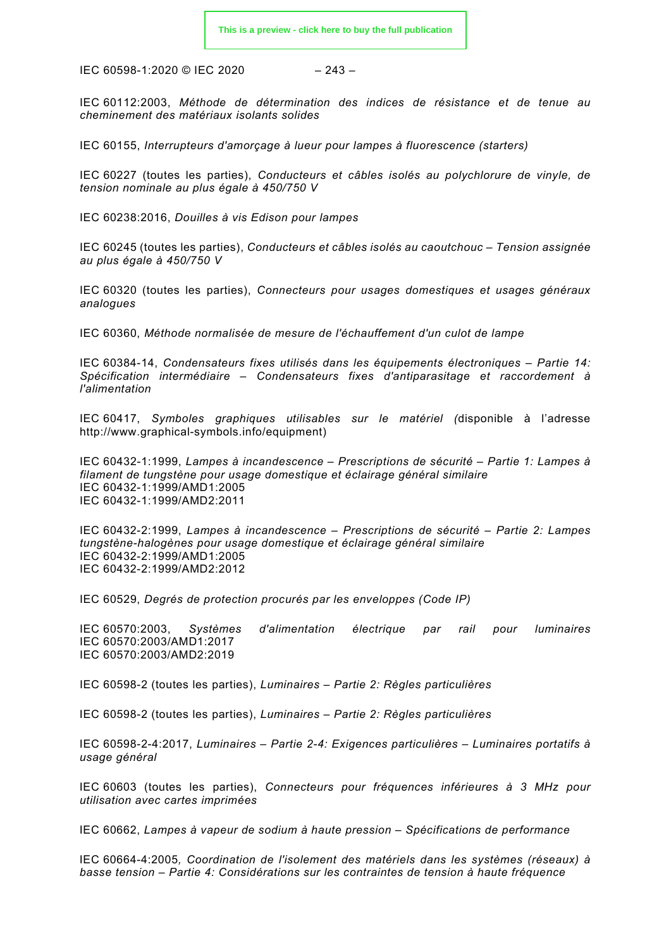IEC 60598-1:2020 © IEC 2020 – 243 –

IEC 60112:2003, *Méthode de détermination des indices de résistance et de tenue au cheminement des matériaux isolants solides*

IEC 60155, *Interrupteurs d'amorçage à lueur pour lampes à fluorescence (starters)*

IEC 60227 (toutes les parties), *Conducteurs et câbles isolés au polychlorure de vinyle, de tension nominale au plus égale à 450/750 V* 

IEC 60238:2016, *Douilles à vis Edison pour lampes*

IEC 60245 (toutes les parties), *Conducteurs et câbles isolés au caoutchouc – Tension assignée au plus égale à 450/750 V* 

IEC 60320 (toutes les parties), *Connecteurs pour usages domestiques et usages généraux analogues*

IEC 60360, *Méthode normalisée de mesure de l'échauffement d'un culot de lampe*

IEC 60384-14, *Condensateurs fixes utilisés dans les équipements électroniques – Partie 14: Spécification intermédiaire – Condensateurs fixes d'antiparasitage et raccordement à l'alimentation*

IEC 60417, *Symboles graphiques utilisables sur le matériel (*disponible à l'adresse [http://www.graphical-symbols.info/equipment\)](http://www.graphical-symbols.info/equipment)

IEC 60432-1:1999, *Lampes à incandescence – Prescriptions de sécurité – Partie 1: Lampes à filament de tungstène pour usage domestique et éclairage général similaire*  IEC 60432-1:1999/AMD1:2005 IEC 60432-1:1999/AMD2:2011

IEC 60432-2:1999, *Lampes à incandescence – Prescriptions de sécurité – Partie 2: Lampes tungstène-halogènes pour usage domestique et éclairage général similaire*  IEC 60432-2:1999/AMD1:2005 IEC 60432-2:1999/AMD2:2012

IEC 60529, *Degrés de protection procurés par les enveloppes (Code IP)*

IEC 60570:2003, *Systèmes d'alimentation électrique par rail pour luminaires* IEC 60570:2003/AMD1:2017 IEC 60570:2003/AMD2:2019

IEC 60598-2 (toutes les parties), *Luminaires – Partie 2: Règles particulières*

IEC 60598-2 (toutes les parties), *Luminaires – Partie 2: Règles particulières*

IEC 60598-2-4:2017, *Luminaires – Partie 2-4: Exigences particulières – Luminaires portatifs à usage général*

IEC 60603 (toutes les parties), *Connecteurs pour fréquences inférieures à 3 MHz pour utilisation avec cartes imprimées*

IEC 60662, *Lampes à vapeur de sodium à haute pression – Spécifications de performance*

IEC 60664-4:2005*, Coordination de l'isolement des matériels dans les systèmes (réseaux) à basse tension – Partie 4: Considérations sur les contraintes de tension à haute fréquence*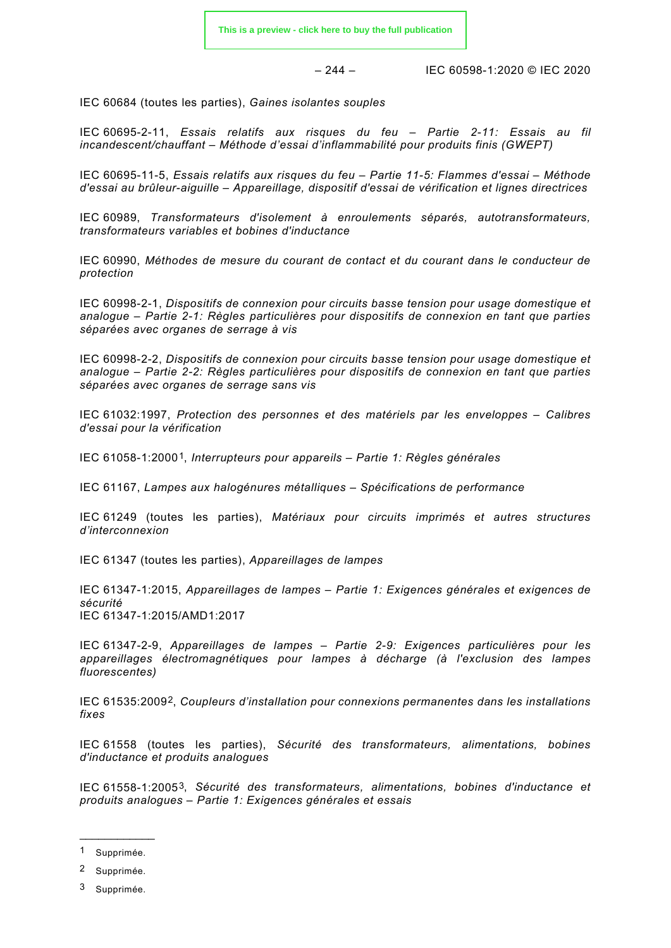– 244 – IEC 60598-1:2020 © IEC 2020

IEC 60684 (toutes les parties), *Gaines isolantes souples*

IEC 60695-2-11, *Essais relatifs aux risques du feu – Partie 2-11: Essais au fil incandescent/chauffant – Méthode d'essai d'inflammabilité pour produits finis (GWEPT)*

IEC 60695-11-5, *Essais relatifs aux risques du feu – Partie 11-5: Flammes d'essai – Méthode d'essai au brûleur-aiguille – Appareillage, dispositif d'essai de vérification et lignes directrices*

IEC 60989, *Transformateurs d'isolement à enroulements séparés, autotransformateurs, transformateurs variables et bobines d'inductance*

IEC 60990, *Méthodes de mesure du courant de contact et du courant dans le conducteur de protection*

IEC 60998-2-1, *Dispositifs de connexion pour circuits basse tension pour usage domestique et analogue – Partie 2-1: Règles particulières pour dispositifs de connexion en tant que parties séparées avec organes de serrage à vis*

IEC 60998-2-2, *Dispositifs de connexion pour circuits basse tension pour usage domestique et analogue – Partie 2-2: Règles particulières pour dispositifs de connexion en tant que parties séparées avec organes de serrage sans vis*

IEC 61032:1997, *Protection des personnes et des matériels par les enveloppes – Calibres d'essai pour la vérification*

IEC 61058-1:2000[1](#page-30-0), *Interrupteurs pour appareils – Partie 1: Règles générales*

IEC 61167, *Lampes aux halogénures métalliques – Spécifications de performance*

IEC 61249 (toutes les parties), *Matériaux pour circuits imprimés et autres structures d'interconnexion*

IEC 61347 (toutes les parties), *Appareillages de lampes*

IEC 61347-1:2015, *Appareillages de lampes – Partie 1: Exigences générales et exigences de sécurité*  IEC 61347-1:2015/AMD1:2017

IEC 61347-2-9, *Appareillages de lampes – Partie 2-9: Exigences particulières pour les appareillages électromagnétiques pour lampes à décharge (à l'exclusion des lampes fluorescentes)*

IEC 61535:2009[2,](#page-30-1) *Coupleurs d'installation pour connexions permanentes dans les installations fixes*

IEC 61558 (toutes les parties), *Sécurité des transformateurs, alimentations, bobines d'inductance et produits analogues*

IEC 61558-1:2005[3](#page-30-2), *Sécurité des transformateurs, alimentations, bobines d'inductance et produits analogues – Partie 1: Exigences générales et essais*

\_\_\_\_\_\_\_\_\_\_\_\_ 1 Supprimée.

<span id="page-30-1"></span><span id="page-30-0"></span><sup>2</sup> Supprimée.

<span id="page-30-2"></span><sup>3</sup> Supprimée.